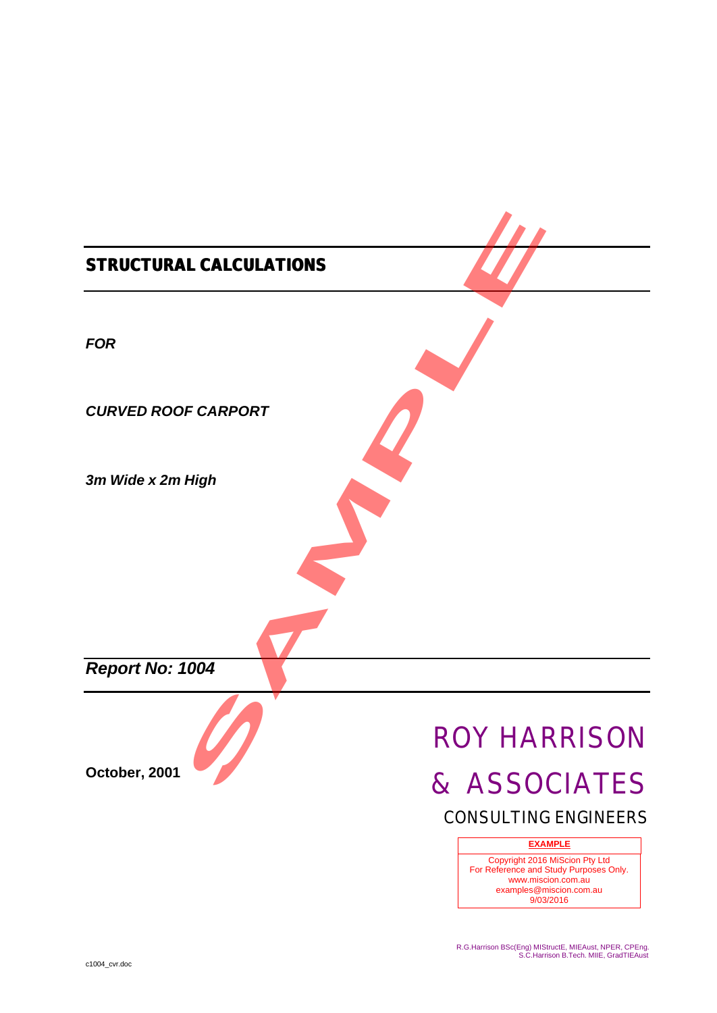# *STRUCTURAL CALCULATIONS FOR CURVED ROOF CARPORT 3m Wide x 2m High Report No: 1004* **October, 2001** ROY HARRISON & ASSOCIATES CONSULTING ENGINEERS Copyright 2016 MiScion Pty Ltd For Reference and Study Purposes Only. www.miscion.com.au examples@miscion.com.au 9/03/2016 **EXAMPLE** E CARPORT<br>
High<br>
1004<br> **SAMPLE CARPORT**<br>
ROY HAI<br>
& ASSO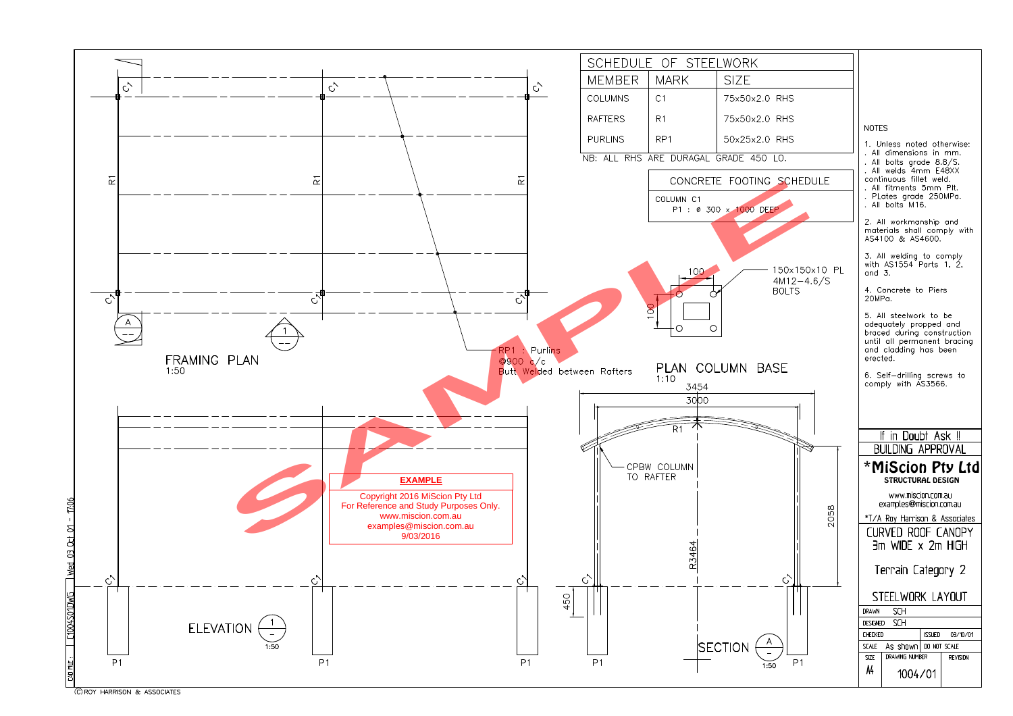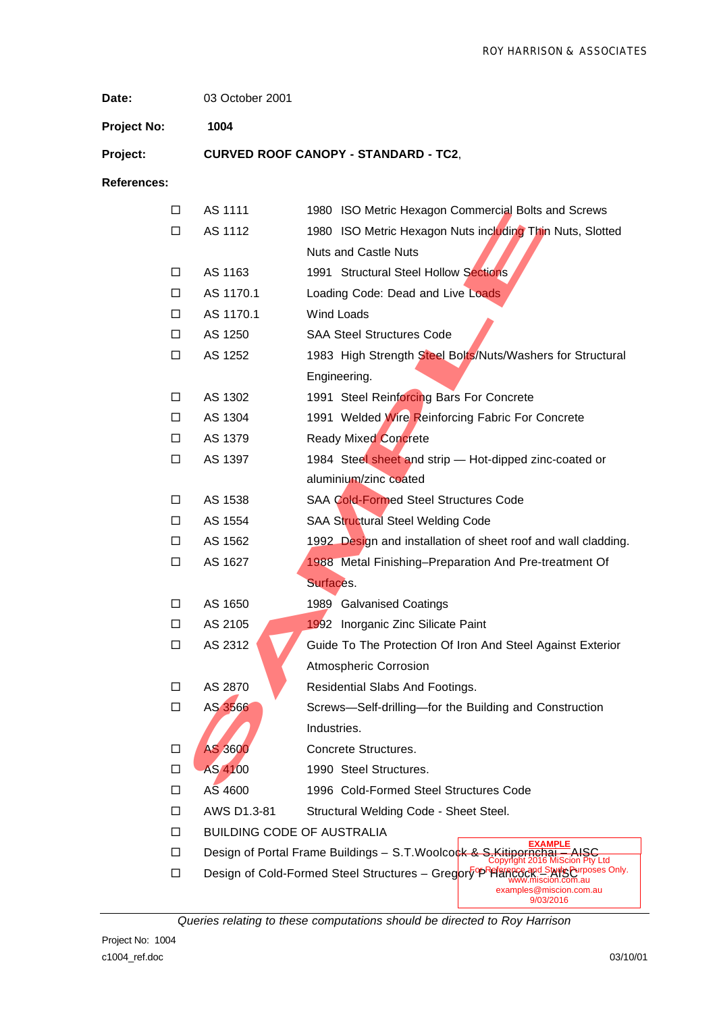**Date:** 03 October 2001

**Project No: 1004**

**Project: CURVED ROOF CANOPY - STANDARD - TC2**,

**References:**

| □      | AS 1111        | 1980 ISO Metric Hexagon Commercial Bolts and Screws                                                                            |
|--------|----------------|--------------------------------------------------------------------------------------------------------------------------------|
| □      | AS 1112        | 1980 ISO Metric Hexagon Nuts including Thin Nuts, Slotted                                                                      |
|        |                | <b>Nuts and Castle Nuts</b>                                                                                                    |
| □      | AS 1163        | 1991 Structural Steel Hollow Sections                                                                                          |
| □      | AS 1170.1      | Loading Code: Dead and Live Loads                                                                                              |
| $\Box$ | AS 1170.1      | Wind Loads                                                                                                                     |
| $\Box$ | AS 1250        | <b>SAA Steel Structures Code</b>                                                                                               |
| $\Box$ | AS 1252        | 1983 High Strength Steel Bolts/Nuts/Washers for Structural                                                                     |
|        |                | Engineering.                                                                                                                   |
| □      | AS 1302        | 1991 Steel Reinforcing Bars For Concrete                                                                                       |
| $\Box$ | AS 1304        | 1991 Welded Wire Reinforcing Fabric For Concrete                                                                               |
| □      | AS 1379        | <b>Ready Mixed Concrete</b>                                                                                                    |
| $\Box$ | AS 1397        | 1984 Steel sheet and strip - Hot-dipped zinc-coated or                                                                         |
|        |                | aluminium/zinc coated                                                                                                          |
| □      | AS 1538        | SAA Cold-Formed Steel Structures Code                                                                                          |
| $\Box$ | AS 1554        | SAA Structural Steel Welding Code                                                                                              |
| $\Box$ | AS 1562        | 1992 Design and installation of sheet roof and wall cladding.                                                                  |
| $\Box$ | AS 1627        | 1988 Metal Finishing-Preparation And Pre-treatment Of                                                                          |
|        |                | Surfaces.                                                                                                                      |
| □      | AS 1650        | 1989 Galvanised Coatings                                                                                                       |
| $\Box$ | AS 2105        | 1992 Inorganic Zinc Silicate Paint                                                                                             |
| $\Box$ | AS 2312        | Guide To The Protection Of Iron And Steel Against Exterior                                                                     |
|        |                | <b>Atmospheric Corrosion</b>                                                                                                   |
| П      | AS 2870        | Residential Slabs And Footings.                                                                                                |
| □      | AS 3566        | Screws-Self-drilling-for the Building and Construction                                                                         |
|        |                | Industries.                                                                                                                    |
| П      | <b>AS 3600</b> | Concrete Structures.                                                                                                           |
| ΙI     | AS 4100        | 1990 Steel Structures.                                                                                                         |
| □      | AS 4600        | 1996 Cold-Formed Steel Structures Code                                                                                         |
| П      | AWS D1.3-81    | Structural Welding Code - Sheet Steel.                                                                                         |
| □      |                | <b>BUILDING CODE OF AUSTRALIA</b>                                                                                              |
| п      |                | <b>EXAMPLE</b><br>Design of Portal Frame Buildings - S.T. Woolcock & S. Kitipornehaj<br>AISC<br>Copyright 2016 MiScion Pty Ltd |
| □      |                | Design of Cold-Formed Steel Structures - Gregory PPPF and Starts Purposes Only.<br>niscion.com.au                              |
|        |                | examples@miscion.com.au<br>9/03/2016                                                                                           |

*Queries relating to these computations should be directed to Roy Harrison*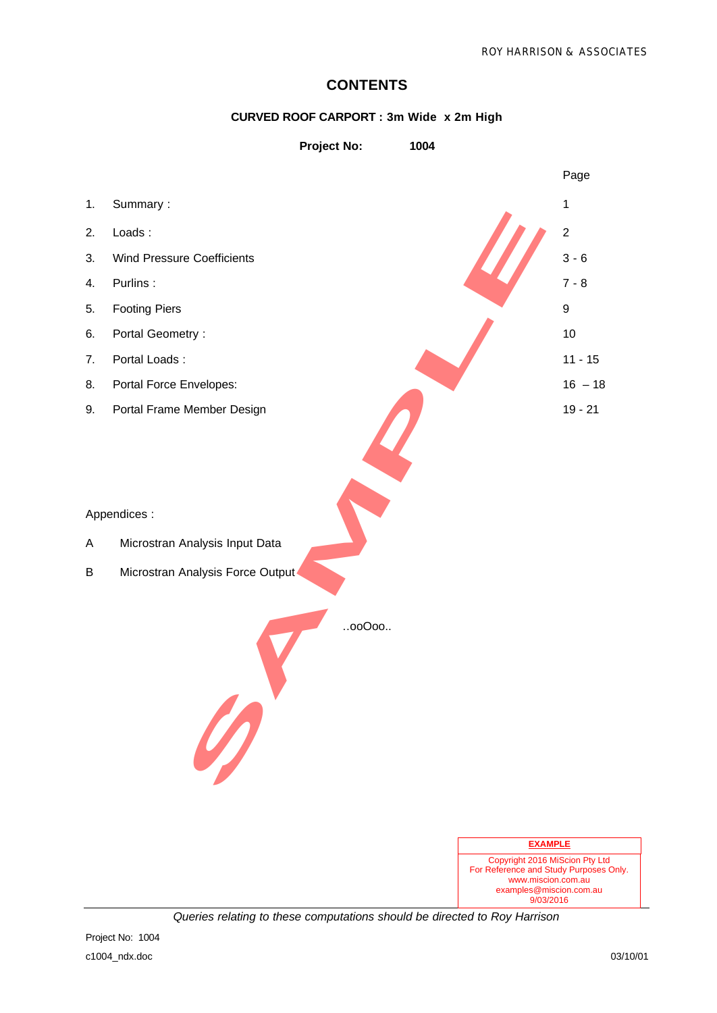#### **CONTENTS**

#### **CURVED ROOF CARPORT : 3m Wide x 2m High**





*Queries relating to these computations should be directed to Roy Harrison*

examples@miscion.com.au 9/03/2016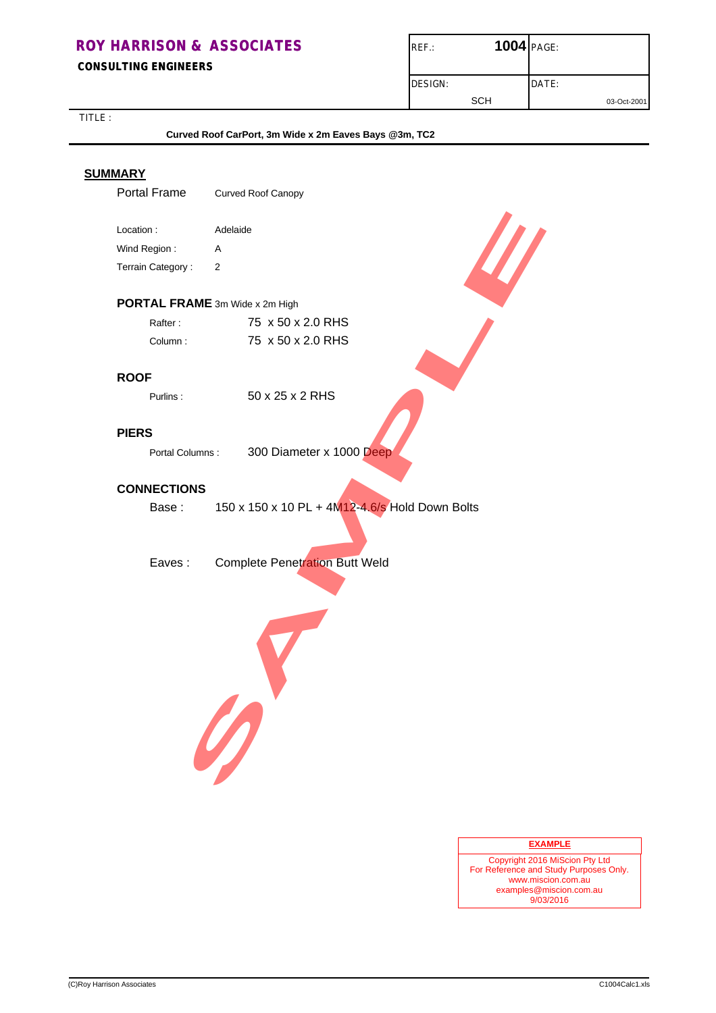**CONSULTING ENGINEERS**

| $REF$ .:       | <b>1004 PAGE:</b> |             |
|----------------|-------------------|-------------|
| <b>DESIGN:</b> |                   | DATE:       |
|                | SCH               | 03-Oct-2001 |

| Portal Frame<br>Location:<br>Wind Region:<br>Terrain Category: | Curved Roof Canopy<br>Adelaide                 |
|----------------------------------------------------------------|------------------------------------------------|
|                                                                |                                                |
|                                                                |                                                |
|                                                                | Α                                              |
|                                                                | 2                                              |
|                                                                | PORTAL FRAME 3m Wide x 2m High                 |
| Rafter:                                                        | 75 x 50 x 2.0 RHS                              |
| Column:                                                        | 75 x 50 x 2.0 RHS                              |
| <b>ROOF</b>                                                    |                                                |
| Purlins:                                                       | 50 x 25 x 2 RHS                                |
| <b>PIERS</b>                                                   |                                                |
| Portal Columns:                                                | 300 Diameter x 1000 Deep                       |
| <b>CONNECTIONS</b>                                             |                                                |
| Base:                                                          | 150 x 150 x 10 PL + 4M12-4.6/s Hold Down Bolts |
| Eaves:                                                         | <b>Complete Penetration Butt Weld</b><br>0     |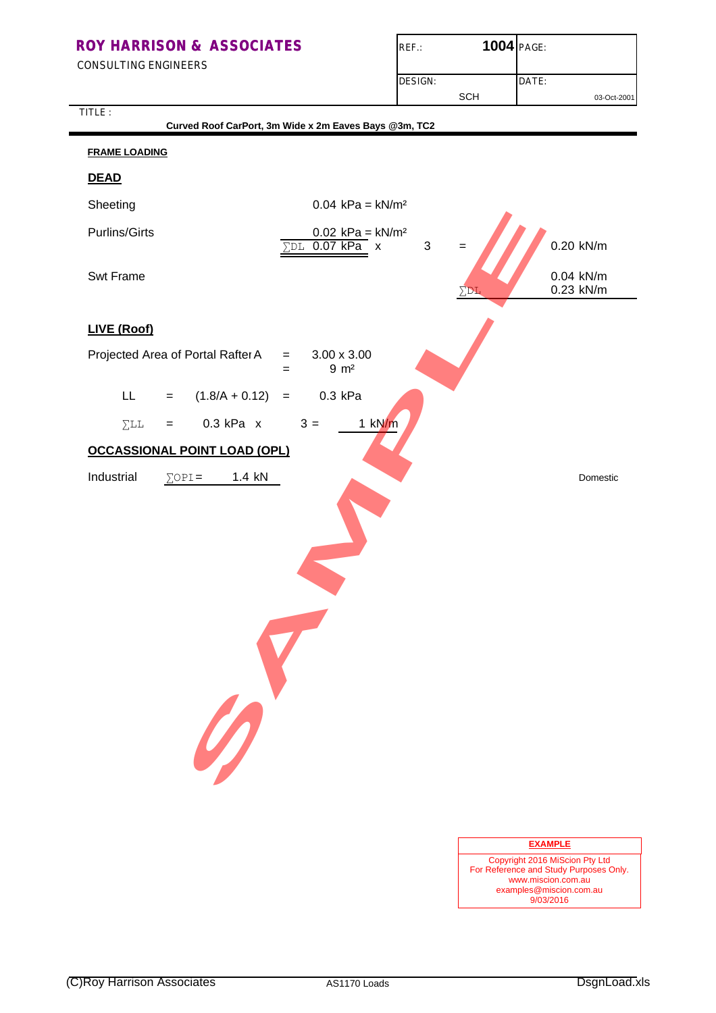CONSULTING ENGINEERS

TITLE :

| $REF$ :        | <b>1004 PAGE:</b> |             |
|----------------|-------------------|-------------|
|                |                   |             |
| <b>DESIGN:</b> |                   | DATE:       |
|                | SCH               | 03-Oct-2001 |

|                                            | Curved Roof CarPort, 3m Wide x 2m Eaves Bays @3m, TC2                |                        |
|--------------------------------------------|----------------------------------------------------------------------|------------------------|
| <b>FRAME LOADING</b>                       |                                                                      |                        |
| <b>DEAD</b>                                |                                                                      |                        |
| Sheeting                                   | $0.04$ kPa = kN/m <sup>2</sup>                                       |                        |
| <b>Purlins/Girts</b>                       | $0.02$ kPa = kN/m <sup>2</sup><br>$\Sigma$ DL 0.07 kPa x<br>3<br>$=$ | 0.20 kN/m              |
| Swt Frame                                  | $\Sigma$ DL                                                          | 0.04 kN/m<br>0.23 kN/m |
| LIVE (Roof)                                |                                                                      |                        |
| Projected Area of Portal Rafter A          | $3.00 \times 3.00$<br>$=$<br>$9 \, m2$<br>$=$                        |                        |
| $(1.8/A + 0.12)$<br>LL.<br>$=$             | 0.3 kPa<br>$\, =$                                                    |                        |
| $0.3$ kPa $x$<br>$\Sigma$ LL<br>$=$        | $3 =$<br>$1$ kN/m                                                    |                        |
| <b>OCCASSIONAL POINT LOAD (OPL)</b>        |                                                                      |                        |
| Industrial<br>1.4 kN<br>$\Sigma$ OPI=<br>0 |                                                                      | Domestic               |
|                                            |                                                                      | <b>EXAMPLE</b>         |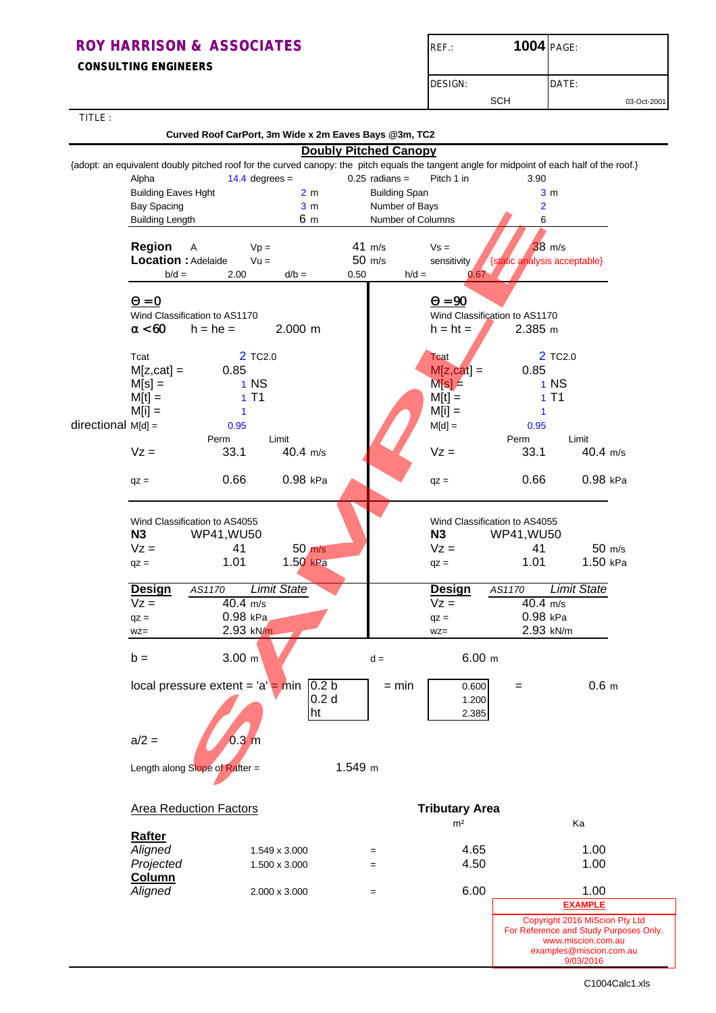**CONSULTING ENGINEERS**

| $REF$ : | <b>1004 PAGE:</b> |             |
|---------|-------------------|-------------|
| DESIGN: |                   | DATE:       |
|         | <b>SCH</b>        | 03-Oct-2001 |

| TITLE:               |                                     | Curved Roof CarPort, 3m Wide x 2m Eaves Bays @3m, TC2 |                     |                              |                                          |                                         |                               |                                                                                                                                             |
|----------------------|-------------------------------------|-------------------------------------------------------|---------------------|------------------------------|------------------------------------------|-----------------------------------------|-------------------------------|---------------------------------------------------------------------------------------------------------------------------------------------|
|                      |                                     |                                                       |                     | <b>Doubly Pitched Canopy</b> |                                          |                                         |                               |                                                                                                                                             |
|                      |                                     |                                                       |                     |                              |                                          |                                         |                               | {adopt: an equivalent doubly pitched roof for the curved canopy: the pitch equals the tangent angle for midpoint of each half of the roof.} |
|                      | Alpha<br><b>Building Eaves Hght</b> |                                                       | $14.4$ degrees =    | 2 <sub>m</sub>               | $0.25$ radians =<br><b>Building Span</b> | Pitch 1 in                              | 3.90<br>3 <sub>m</sub>        |                                                                                                                                             |
|                      | <b>Bay Spacing</b>                  |                                                       |                     | 3 <sub>m</sub>               | Number of Bays                           |                                         | $\overline{2}$                |                                                                                                                                             |
|                      | <b>Building Length</b>              |                                                       |                     | 6 m                          | Number of Columns                        |                                         | 6                             |                                                                                                                                             |
|                      | <b>Region</b>                       |                                                       |                     |                              | 41 m/s                                   | $Vs =$                                  | $38$ m/s                      |                                                                                                                                             |
|                      | Location : Adelaide                 | A                                                     | $Vp =$<br>$Vu =$    |                              | 50 m/s                                   | sensitivity                             | {static analysis acceptable}  |                                                                                                                                             |
|                      | $b/d =$                             | 2.00                                                  | $d/b =$             | 0.50                         | $h/d =$                                  | 0.67                                    |                               |                                                                                                                                             |
|                      |                                     |                                                       |                     |                              |                                          |                                         |                               |                                                                                                                                             |
|                      | $\mathbf{Q} = \mathbf{0}$           | Wind Classification to AS1170                         |                     |                              |                                          | $Q = 90$                                | Wind Classification to AS1170 |                                                                                                                                             |
|                      | a < 60                              | $h = he =$                                            | $2.000$ m           |                              |                                          | $h = ht =$                              | 2.385 m                       |                                                                                                                                             |
|                      |                                     |                                                       |                     |                              |                                          |                                         |                               |                                                                                                                                             |
|                      | Tcat<br>$M[z, cat] =$               | 0.85                                                  | 2 TC <sub>2.0</sub> |                              |                                          | <b>Tcat</b><br>$M[z, cat] =$            | 2 TC <sub>2.0</sub><br>0.85   |                                                                                                                                             |
|                      | $M[s] =$                            |                                                       | $1$ NS              |                              |                                          | $M[s] =$                                | 1 NS                          |                                                                                                                                             |
|                      | $M[t] =$                            |                                                       | 1T1                 |                              |                                          | $M[t] =$                                | 1T1                           |                                                                                                                                             |
|                      | $M[i] =$                            | 1                                                     |                     |                              |                                          | $M[i] =$                                | $\mathbf{1}$                  |                                                                                                                                             |
| directional $M[d] =$ |                                     | 0.95<br>Perm                                          |                     |                              |                                          | $M[d] =$                                | 0.95<br>Perm                  |                                                                                                                                             |
|                      | $Vz =$                              | 33.1                                                  | Limit<br>40.4 m/s   |                              |                                          | $Vz =$                                  | 33.1                          | Limit<br>40.4 m/s                                                                                                                           |
|                      |                                     |                                                       |                     |                              |                                          |                                         |                               |                                                                                                                                             |
|                      | $qz =$                              | 0.66                                                  | 0.98 kPa            |                              |                                          | $qz =$                                  | 0.66                          | 0.98 kPa                                                                                                                                    |
|                      |                                     |                                                       |                     |                              |                                          |                                         |                               |                                                                                                                                             |
|                      | N3                                  | Wind Classification to AS4055                         |                     |                              |                                          | N3                                      | Wind Classification to AS4055 |                                                                                                                                             |
|                      | $Vz =$                              | <b>WP41, WU50</b><br>41                               |                     | $50$ m/s                     |                                          | $Vz =$                                  | <b>WP41, WU50</b><br>41       | 50 m/s                                                                                                                                      |
|                      | $qz =$                              | 1.01                                                  | 1.50 kPa            |                              |                                          | $qz =$                                  | 1.01                          | 1.50 kPa                                                                                                                                    |
|                      | <b>Design</b>                       | AS1170                                                | <b>Limit State</b>  |                              |                                          | <b>Design</b>                           | AS1170                        | <b>Limit State</b>                                                                                                                          |
|                      | $Vz =$                              | $40.4$ m/s                                            |                     |                              |                                          | $Vz =$                                  | $40.4$ m/s                    |                                                                                                                                             |
|                      | $qz =$<br>$WZ =$                    | 0.98 kPa                                              | 2.93 kN/m           |                              |                                          | $qz =$<br>$WZ =$                        | 0.98 kPa<br>2.93 kN/m         |                                                                                                                                             |
|                      |                                     |                                                       |                     |                              |                                          |                                         |                               |                                                                                                                                             |
|                      | $b =$                               | $3.00 \text{ m}$                                      |                     |                              | $d =$                                    | 6.00 m                                  |                               |                                                                                                                                             |
|                      |                                     | local pressure extent = $'a'$ = min                   |                     | 0.2 <sub>b</sub>             | $=$ min                                  | 0.600                                   | $=$                           | 0.6 <sub>m</sub>                                                                                                                            |
|                      |                                     |                                                       |                     | 0.2 <sub>d</sub><br>ht       |                                          | 1.200<br>2.385                          |                               |                                                                                                                                             |
|                      |                                     |                                                       |                     |                              |                                          |                                         |                               |                                                                                                                                             |
|                      | $a/2 =$                             | 0.3 <sub>m</sub>                                      |                     |                              |                                          |                                         |                               |                                                                                                                                             |
|                      |                                     | Length along Slope of Rafter =                        |                     | 1.549 m                      |                                          |                                         |                               |                                                                                                                                             |
|                      |                                     |                                                       |                     |                              |                                          |                                         |                               |                                                                                                                                             |
|                      |                                     | <b>Area Reduction Factors</b>                         |                     |                              |                                          | <b>Tributary Area</b><br>m <sup>2</sup> |                               | Ka                                                                                                                                          |
|                      | <b>Rafter</b>                       |                                                       |                     |                              |                                          |                                         |                               |                                                                                                                                             |
|                      | Aligned                             |                                                       | 1.549 x 3.000       |                              | $=$                                      | 4.65                                    |                               | 1.00                                                                                                                                        |
|                      | Projected<br><b>Column</b>          |                                                       | 1.500 x 3.000       |                              | $=$                                      | 4.50                                    |                               | 1.00                                                                                                                                        |
|                      | Aligned                             |                                                       | 2.000 x 3.000       |                              | $=$                                      | 6.00                                    |                               | 1.00                                                                                                                                        |
|                      |                                     |                                                       |                     |                              |                                          |                                         |                               | <b>EXAMPLE</b>                                                                                                                              |
|                      |                                     |                                                       |                     |                              |                                          |                                         |                               | Copyright 2016 MiScion Pty Ltd<br>For Reference and Study Purposes Only.                                                                    |
|                      |                                     |                                                       |                     |                              |                                          |                                         |                               | www.miscion.com.au                                                                                                                          |
|                      |                                     |                                                       |                     |                              |                                          |                                         |                               | examples@miscion.com.au<br>9/03/2016                                                                                                        |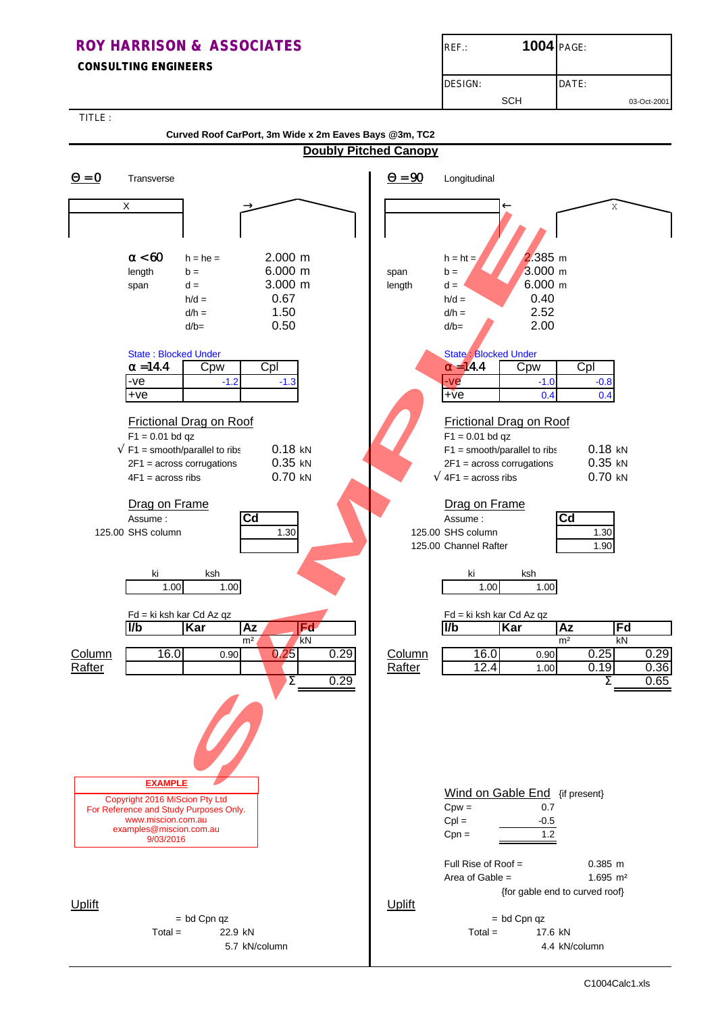#### **CONSULTING ENGINEERS**

| $REF$ :        | <b>1004 PAGE:</b> |       |             |
|----------------|-------------------|-------|-------------|
| <b>DESIGN:</b> |                   | DATE: |             |
|                | SCH               |       | 03-Oct-2001 |

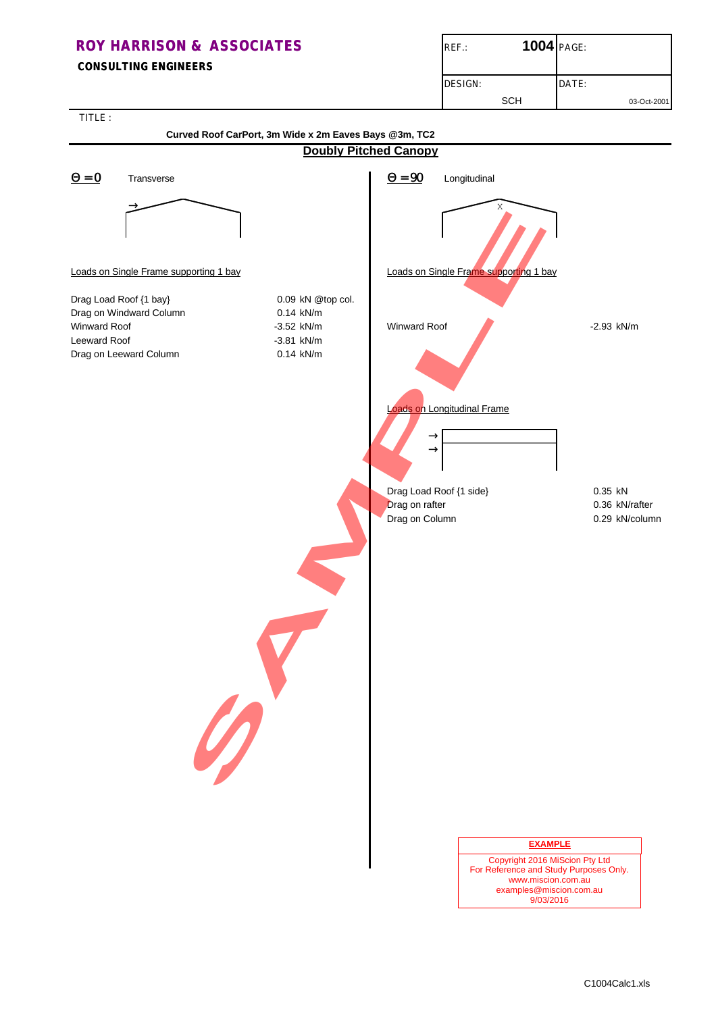## **ROY HARRISON & ASSOCIATES ROY HARRISON & ASSOCIATES CONSULTING ENGINEERS** DESIGN: DATE: SCH 03-Oct-2001

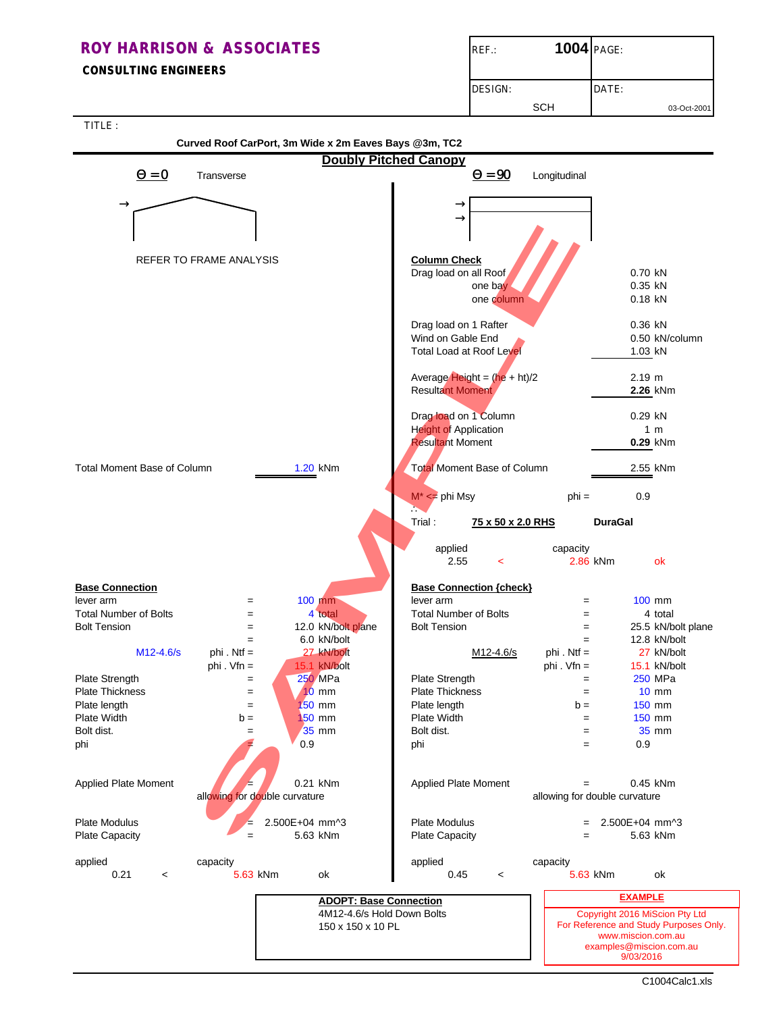#### **CONSULTING ENGINEERS**

| $REF$ :        | 1004 PAGE: |             |
|----------------|------------|-------------|
| <b>DESIGN:</b> |            | DATE:       |
|                | <b>SCH</b> | 03-Oct-2001 |

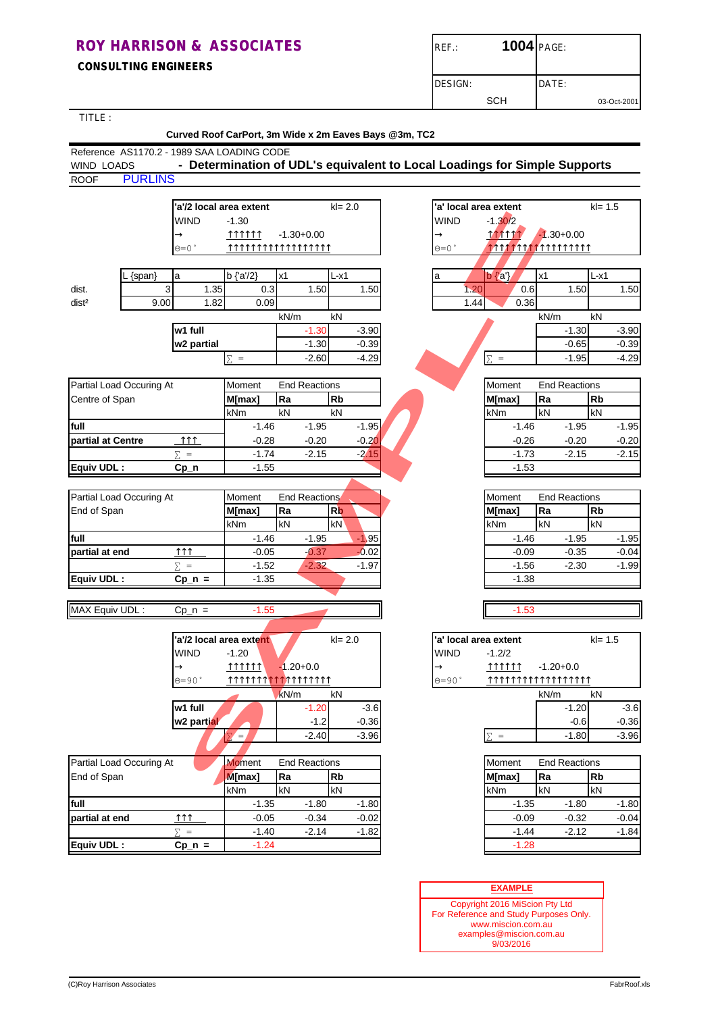**CONSULTING ENGINEERS**

| $REF$ .:       | <b>1004 PAGE:</b> |             |
|----------------|-------------------|-------------|
| <b>DESIGN:</b> | DATE:             |             |
| SCH            |                   | 03-Oct-2001 |

TITLE :

| IIILE :                                    | Curved Roof CarPort, 3m Wide x 2m Eaves Bays @3m, TC2 |                                                                           |                |                      |         |                        |                       |               |                      |            |         |
|--------------------------------------------|-------------------------------------------------------|---------------------------------------------------------------------------|----------------|----------------------|---------|------------------------|-----------------------|---------------|----------------------|------------|---------|
| Reference AS1170.2 - 1989 SAA LOADING CODE |                                                       |                                                                           |                |                      |         |                        |                       |               |                      |            |         |
| <b>WIND LOADS</b>                          |                                                       | - Determination of UDL's equivalent to Local Loadings for Simple Supports |                |                      |         |                        |                       |               |                      |            |         |
| <b>PURLINS</b><br><b>ROOF</b>              |                                                       |                                                                           |                |                      |         |                        |                       |               |                      |            |         |
|                                            |                                                       |                                                                           |                |                      |         |                        |                       |               |                      |            |         |
|                                            |                                                       | 'a'/2 local area extent                                                   |                | $kl = 2.0$           |         |                        | 'a' local area extent |               |                      | $kl = 1.5$ |         |
|                                            | WIND                                                  | $-1.30$                                                                   |                |                      |         | WIND                   | $-1,30/2$             |               |                      |            |         |
|                                            | $\rightarrow$                                         | <u> 111111 1</u>                                                          | $-1.30 + 0.00$ |                      |         | $\rightarrow$          | <b>MATTT</b>          |               | $-1.30 + 0.00$       |            |         |
|                                            | $\Theta = 0$                                          | <b>↑↑↑↑↑↑↑↑↑↑↑↑↑↑↑↑↑↑</b>                                                 |                |                      |         | $\Theta = 0$ $\degree$ | 7777777               |               | <b>7111111111</b>    |            |         |
|                                            |                                                       |                                                                           |                |                      |         |                        |                       |               |                      |            |         |
| {span}                                     | a                                                     | $b {a/2}$                                                                 | х1             | L-x1                 |         | a                      | $b {a'}$              | x1            |                      | L-x1       |         |
| dist.                                      | 1.35<br>3                                             | 0.3                                                                       |                | 1.50                 | 1.50    | 1.20                   | 0.6                   |               | 1.50                 |            | 1.50    |
| dist <sup>2</sup>                          | 9.00<br>1.82                                          | 0.09                                                                      |                |                      |         | 1.44                   | 0.36                  |               |                      |            |         |
|                                            |                                                       |                                                                           | kN/m           | kN                   |         |                        |                       | kN/m          |                      | kN         |         |
|                                            | w1 full                                               |                                                                           |                | $-1.30$              | $-3.90$ |                        |                       |               | $-1.30$              |            | $-3.90$ |
|                                            | w2 partial                                            |                                                                           |                | $-1.30$              | $-0.39$ |                        |                       |               | $-0.65$              |            | $-0.39$ |
|                                            |                                                       | $\Sigma =$                                                                |                | $-2.60$              | $-4.29$ |                        | $\Sigma =$            |               | $-1.95$              |            | $-4.29$ |
| Partial Load Occuring At                   |                                                       | Moment                                                                    |                | <b>End Reactions</b> |         |                        | Moment                |               | <b>End Reactions</b> |            |         |
| Centre of Span                             |                                                       | M[max]                                                                    | Ra             | <b>Rb</b>            |         |                        | M[max]                | Ra            |                      | Rb         |         |
|                                            |                                                       | kNm                                                                       | kN             | kN                   |         |                        | kNm                   | kN            |                      | kN         |         |
| full                                       |                                                       | $-1.46$                                                                   |                | $-1.95$              | $-1.95$ |                        | $-1.46$               |               | $-1.95$              |            | $-1.95$ |
| partial at Centre                          | $\uparrow \uparrow \uparrow$                          | $-0.28$                                                                   |                | $-0.20$              | $-0.20$ |                        | $-0.26$               |               | $-0.20$              |            | $-0.20$ |
|                                            | $\Sigma =$                                            | $-1.74$                                                                   |                | $-2.15$              | $-2.15$ |                        | $-1.73$               |               | $-2.15$              |            | $-2.15$ |
| Equiv UDL:                                 | $Cp_n$                                                | $-1.55$                                                                   |                |                      |         |                        | $-1.53$               |               |                      |            |         |
|                                            |                                                       |                                                                           |                |                      |         |                        |                       |               |                      |            |         |
| Partial Load Occuring At                   |                                                       | Moment                                                                    |                | <b>End Reactions</b> |         |                        | Moment                |               | <b>End Reactions</b> |            |         |
| End of Span                                |                                                       | M[max]                                                                    | Ra             | <b>Rb</b>            |         |                        | M[max]                | Ra            |                      | Rb         |         |
|                                            |                                                       | kNm                                                                       | kN             | kN                   |         |                        | kNm                   | kN            |                      | kN         |         |
| full                                       |                                                       | $-1.46$                                                                   |                | $-1.95$              | $-1.95$ |                        | $-1.46$               |               | $-1.95$              |            | $-1.95$ |
| partial at end                             | $\uparrow \uparrow \uparrow$                          | $-0.05$                                                                   |                | $-0.37$              | $-0.02$ |                        | $-0.09$               |               | $-0.35$              |            | $-0.04$ |
|                                            | $\Sigma =$                                            | $-1.52$                                                                   |                | $-2.32$              | $-1.97$ |                        | $-1.56$               |               | $-2.30$              |            | $-1.99$ |
| Equiv UDL:                                 | $Cp_n =$                                              | $-1.35$                                                                   |                |                      |         |                        | $-1.38$               |               |                      |            |         |
|                                            |                                                       |                                                                           |                |                      |         |                        |                       |               |                      |            |         |
| MAX Equiv UDL:                             | $Cp_n =$                                              | $-1.55$                                                                   |                |                      |         |                        | $-1.53$               |               |                      |            |         |
|                                            |                                                       |                                                                           |                |                      |         |                        |                       |               |                      |            |         |
|                                            |                                                       | 'a'/2 local area extent                                                   |                | $kl = 2.0$           |         |                        | 'a' local area extent |               |                      | $kl = 1.5$ |         |
|                                            | <b>WIND</b>                                           | $-1.20$                                                                   |                |                      |         | <b>WIND</b>            |                       |               |                      |            |         |
|                                            | $\rightarrow$                                         | 111111                                                                    | $-1.20 + 0.0$  |                      |         | $\rightarrow$          | $-1.2/2$<br>111111    | $-1.20 + 0.0$ |                      |            |         |
|                                            | $0 = 90$ °                                            | ተተተተነሱ የተነሱት የተነሱት                                                        |                |                      |         | $0 = 90$ °             | 11111111              |               | ተገተገገገ               |            |         |
|                                            |                                                       |                                                                           | kN/m           | kN                   |         |                        |                       | kN/m          |                      | kN         |         |
|                                            | w1 full                                               |                                                                           |                | $-1.20$              | $-3.6$  |                        |                       |               | $-1.20$              |            | $-3.6$  |
|                                            | w <sub>2</sub> partial                                |                                                                           |                | $-1.2$               | $-0.36$ |                        |                       |               | $-0.6$               |            | $-0.36$ |
|                                            |                                                       | Έ,<br>$\bar{\Sigma}'$                                                     |                | $-2.40$              | $-3.96$ |                        | $\Sigma =$            |               | $-1.80$              |            | $-3.96$ |
|                                            |                                                       |                                                                           |                |                      |         |                        |                       |               |                      |            |         |
| Partial Load Occuring At                   |                                                       | <b>Moment</b>                                                             |                | <b>End Reactions</b> |         |                        | Moment                |               | <b>End Reactions</b> |            |         |
| End of Span                                |                                                       | M[max]                                                                    | Ra             | Rb                   |         |                        | M[max]                | Ra            |                      | <b>Rb</b>  |         |
|                                            |                                                       | kNm                                                                       | kN             | kN                   |         |                        | kNm                   | kN            |                      | kN         |         |
| full                                       |                                                       | $-1.35$                                                                   |                | $-1.80$              | $-1.80$ |                        | $-1.35$               |               | $-1.80$              |            | $-1.80$ |
| partial at end                             | 111                                                   | $-0.05$                                                                   |                | $-0.34$              | $-0.02$ |                        | $-0.09$               |               | $-0.32$              |            | $-0.04$ |
|                                            | $\Sigma =$                                            | $-1.40$                                                                   |                | $-2.14$              | $-1.82$ |                        | $-1.44$               |               | $-2.12$              |            | $-1.84$ |
| Equiv UDL:                                 | $Cp_n =$                                              | $-1.24$                                                                   |                |                      |         |                        | $-1.28$               |               |                      |            |         |
|                                            |                                                       |                                                                           |                |                      |         |                        |                       |               |                      |            |         |
|                                            |                                                       |                                                                           |                |                      |         |                        |                       |               |                      |            |         |
|                                            |                                                       |                                                                           |                |                      |         |                        | <b>EXAMPLE</b>        |               |                      |            |         |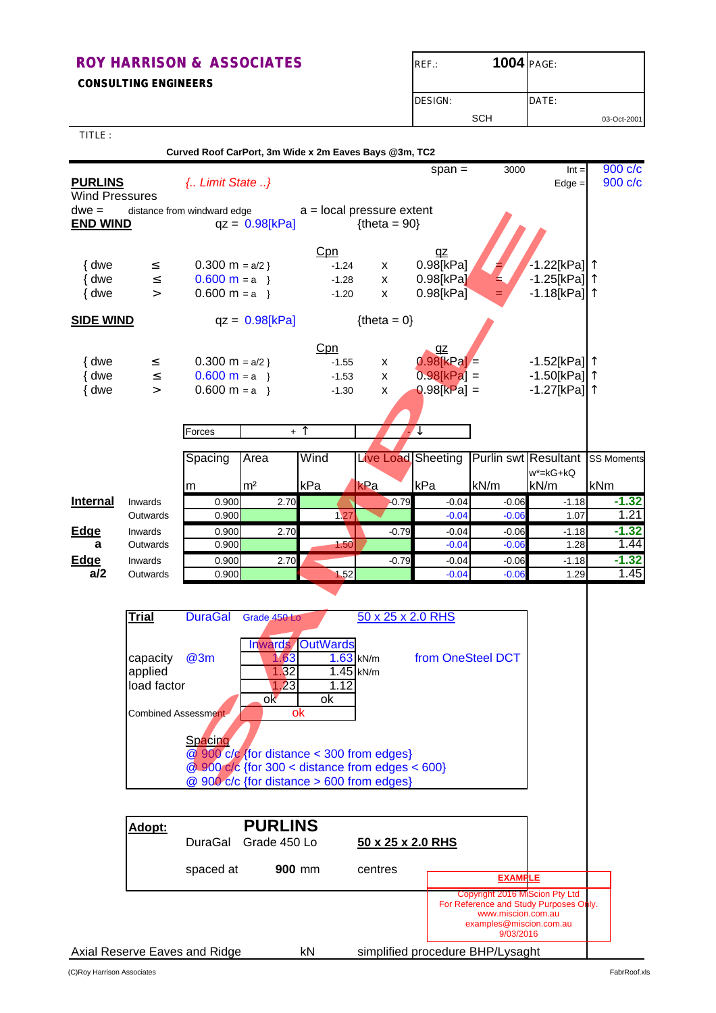**CONSULTING ENGINEERS**

| $REF$ :        | <b>1004 PAGE:</b> |       |             |
|----------------|-------------------|-------|-------------|
| <b>DESIGN:</b> |                   | DATE: |             |
|                | SCH               |       | 03-Oct-2001 |

| TITLE:                                             |                     |                                                       |                        |             |                                                   |                   |         |                                        |                    |
|----------------------------------------------------|---------------------|-------------------------------------------------------|------------------------|-------------|---------------------------------------------------|-------------------|---------|----------------------------------------|--------------------|
|                                                    |                     | Curved Roof CarPort, 3m Wide x 2m Eaves Bays @3m, TC2 |                        |             |                                                   |                   |         |                                        |                    |
| <b>PURLINS</b><br><b>Wind Pressures</b><br>$dwe =$ |                     | { Limit State }<br>distance from windward edge        |                        |             | $a = local pressure extent$                       | $span =$          | 3000    | $Int =$<br>$Edge =$                    | 900 c/c<br>900 c/c |
| <b>END WIND</b>                                    |                     |                                                       | $qz = 0.98[kPa]$       |             | ${thea = 90}$                                     |                   |         |                                        |                    |
|                                                    |                     |                                                       |                        |             |                                                   |                   |         |                                        |                    |
|                                                    |                     |                                                       |                        | Cpn         |                                                   | qz                |         |                                        |                    |
| { dwe                                              | $\leq$              | $0.300 \text{ m} = a/2$                               |                        | $-1.24$     | X                                                 | 0.98[kPa]         |         | $-1.22$ [kPa] $ ^{\uparrow}$           |                    |
| { dwe                                              | $\leq$              | $0.600 m = a$                                         |                        | $-1.28$     | X                                                 | 0.98[kPa]         |         | -1.25[kPa]  ↑                          |                    |
| { dwe                                              | $\geq$              | $0.600 \text{ m} = a$                                 |                        | $-1.20$     | X                                                 | $0.98$ [kPa]      |         | -1.18[kPa] <b> </b> ↑                  |                    |
| <b>SIDE WIND</b>                                   |                     |                                                       | $qz = 0.98[kPa]$       |             | ${thea = 0}$                                      |                   |         |                                        |                    |
|                                                    |                     |                                                       |                        | Cpn         |                                                   | qz                |         |                                        |                    |
| { dwe                                              | $\leq$              | $0.300 \text{ m} = a/2$                               |                        | $-1.55$     | X                                                 | $0.98$ kPa =      |         | -1.52[kPa] ↑                           |                    |
| { dwe                                              | $\leq$              | $0.600 \text{ m} = a$                                 |                        | $-1.53$     | X                                                 | $0.98[kPa] =$     |         | -1.50[kPa] <b> </b> ↑                  |                    |
| { dwe                                              | $\geq$              | $0.600 \text{ m} = a$                                 |                        | $-1.30$     | X                                                 | $0.98[kPa] =$     |         | $-1.27$ [kPa] <sup>1</sup>             |                    |
|                                                    |                     |                                                       |                        |             |                                                   |                   |         |                                        |                    |
|                                                    |                     | Forces                                                |                        | + 1         |                                                   | ↓                 |         |                                        |                    |
|                                                    |                     |                                                       |                        |             |                                                   |                   |         |                                        |                    |
|                                                    |                     | Spacing                                               | Area                   | Wind        | Live Load Sheeting                                |                   |         | <b>Purlin swt Resultant SS Moments</b> |                    |
|                                                    |                     |                                                       | m <sup>2</sup>         | kPa         | kPa                                               | kPa               | kN/m    | $w^*$ =kG+kQ<br>kN/m                   | kNm                |
| <b>Internal</b>                                    | Inwards             | m<br>0.900                                            | 2.70                   |             | $-0.79$                                           | $-0.04$           | $-0.06$ | $-1.18$                                | $-1.32$            |
|                                                    | Outwards            | 0.900                                                 |                        | 1.27        |                                                   | $-0.04$           | $-0.06$ | 1.07                                   | 1.21               |
| <b>Edge</b>                                        | Inwards             | 0.900                                                 | 2.70                   |             | $-0.79$                                           | $-0.04$           | $-0.06$ | $-1.18$                                | $-1.32$            |
| a                                                  | Outwards            | 0.900                                                 |                        | 1.50        |                                                   | $-0.04$           | $-0.06$ | 1.28                                   | 1.44               |
| Edge                                               | Inwards             | 0.900                                                 | 2.70                   |             | $-0.79$                                           | $-0.04$           | $-0.06$ | $-1.18$                                | $-1.32$            |
| a/2                                                | Outwards            | 0.900                                                 |                        | 1.52        |                                                   | $-0.04$           | $-0.06$ | 1.29                                   | 1.45               |
|                                                    |                     |                                                       |                        |             |                                                   |                   |         |                                        |                    |
|                                                    | Trial               | <b>DuraGal</b>                                        | Grade 450 Lo           |             | 50 x 25 x 2.0 RHS                                 |                   |         |                                        |                    |
|                                                    |                     |                                                       |                        |             |                                                   |                   |         |                                        |                    |
|                                                    |                     |                                                       | Inwards                | OutWards    |                                                   |                   |         |                                        |                    |
|                                                    | capacity            | @3m                                                   | 1.63                   | $1.63$ kN/m |                                                   | from OneSteel DCT |         |                                        |                    |
|                                                    | applied             |                                                       | .32<br>$\overline{23}$ | 1.12        | 1.45 kN/m                                         |                   |         |                                        |                    |
|                                                    | load factor         |                                                       | ok                     | оk          |                                                   |                   |         |                                        |                    |
|                                                    | Combined Assessment |                                                       |                        | ok          |                                                   |                   |         |                                        |                    |
|                                                    |                     |                                                       |                        |             |                                                   |                   |         |                                        |                    |
|                                                    |                     | Spacing                                               |                        |             |                                                   |                   |         |                                        |                    |
|                                                    |                     |                                                       |                        |             | $Q$ 900 c/c {for distance < 300 from edges}       |                   |         |                                        |                    |
|                                                    |                     |                                                       |                        |             | $@.900$ c/c {for 300 < distance from edges < 600} |                   |         |                                        |                    |
|                                                    |                     |                                                       |                        |             | @ 900 c/c {for distance > 600 from edges}         |                   |         |                                        |                    |

| <b>Trial</b>                       | <b>DuraGal</b> | Grade 450 Lo                                                                                                     |                                    | 50 x 25 x 2.0 RHS |
|------------------------------------|----------------|------------------------------------------------------------------------------------------------------------------|------------------------------------|-------------------|
| capacity<br>applied<br>load factor | @3m            | <b>Inwards OutWards</b><br>.63<br>1.32<br>1.23                                                                   | $1.63$ kN/m<br>$1.45$ kN/m<br>1.12 | from OneSteel DCT |
| <b>Combined Assessment</b>         | Spacing        | ok<br>ok<br>ok<br>@ 900 c/c {for distance < 300 from edges}<br>$@.900$ c/c {for 300 < distance from edges < 600} |                                    |                   |
|                                    |                | @ 900 c/c {for distance > 600 from edges}                                                                        |                                    |                   |
|                                    |                |                                                                                                                  |                                    |                   |
| Adopt:                             |                | <b>PURLINS</b>                                                                                                   |                                    |                   |
|                                    | DuraGal        | Grade 450 Lo                                                                                                     |                                    | 50 x 25 x 2.0 RHS |

| Adopt: | DuraGal                       | <b>PURLINS</b><br>Grade 450 Lo | 50 x 25 x 2.0 RHS |                                                                                                                                        |  |
|--------|-------------------------------|--------------------------------|-------------------|----------------------------------------------------------------------------------------------------------------------------------------|--|
|        | spaced at                     | <b>900 mm</b>                  | centres           | <b>EXAMPLE</b>                                                                                                                         |  |
|        |                               |                                |                   | Copyright 2016 MiScion Pty Ltd<br>For Reference and Study Purposes Only.<br>www.miscion.com.au<br>examples@miscion.com.au<br>9/03/2016 |  |
|        | Axial Reserve Eaves and Ridge | kN                             |                   | simplified procedure BHP/Lysaght                                                                                                       |  |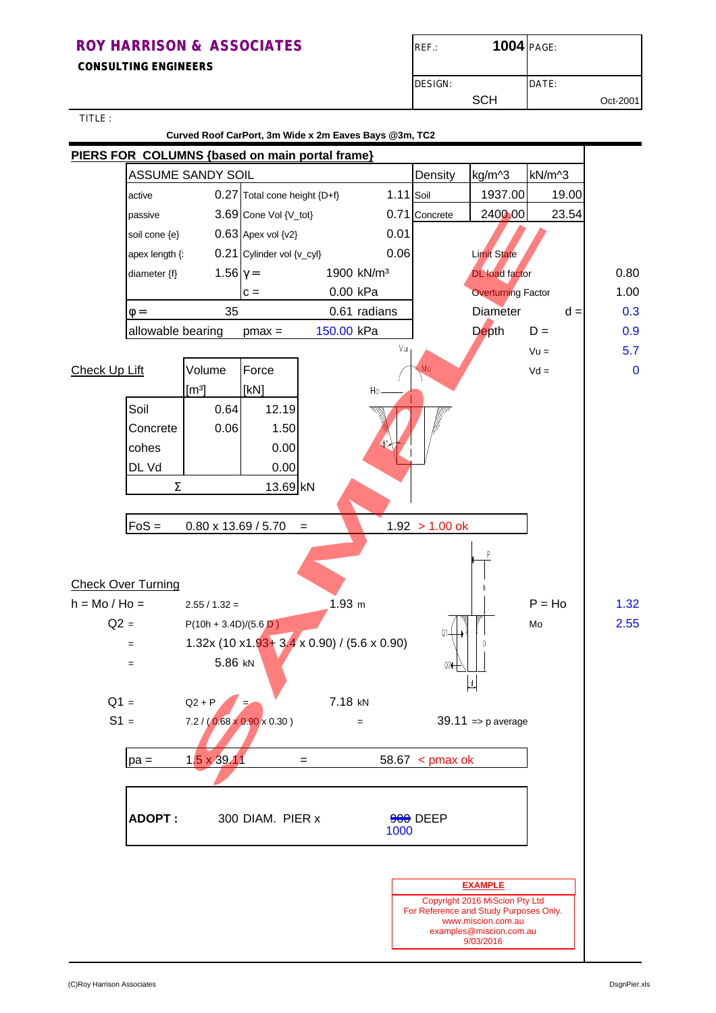**CONSULTING ENGINEERS**

| $REF$ :         | 1004 PAGE: |       |          |
|-----------------|------------|-------|----------|
| <b>IDESIGN:</b> |            | DATE: |          |
|                 | SCH        |       | Oct-2001 |

TITLE :

# **Curved Roof CarPort, 3m Wide x 2m Eaves Bays @3m, TC2 PIERS FOR COLUMNS {based on main portal frame}** ASSUME SANDY SOIL **DELACTE SET ASSUME** SANDY SOIL active 0.27 Total cone height {D+f} 1.11 Soil 1937.00 19.00 passive 3.69 Cone Vol {V\_tot} 0.71 Concrete 2400.00 23.54 soil cone  $\{e\}$  0.63 Apex vol  $\{v2\}$  0.01 apex length  $\{\hat{i} \}$  0.21 Cylinder vol  $\{v\_cyl\}$  0.06 Limit State diameter {f}  $1.56\gamma = 1900 \text{ kN/m}^3$  DL load factor 0.80  $c =$  0.00 kPa  $\sqrt{a}$  Overturning Factor  $\sqrt{a}$  1.00  $\phi =$  35 0.61 radians Diameter  $\phi =$  0.3 allowable bearing pmax =  $150.00$  kPa  $\vert$  Depth  $D = 0.9$  $Vu =$  5.7  $Check Up Lift$  Volume Force  $\bigwedge_{M_0} M_0$  Vd = 0  $[m<sup>3</sup>]$   $[kN]$ Soil 0.64 12.19 Concrete 0.06 1.50 cohes 0.00 DL Vd 0.00  $\Sigma$  13.69 kN  $FoS = 0.80 \times 13.69 / 5.70 = 1.92 > 1.00$  ok 3.69 Cone Vol (V\_tot)<br>
0.83 Appex vol (V\_tot)<br>
0.23 Cylinder vol (V\_tot)<br>
1.56 Y = 1900 kN/m<sup>3</sup><br>
1.56 Y = 0.00 kPa<br>
1.56 C = 0.00 kPa<br>
0.61 radians<br>
0.61 radians<br>
0.64 12.19<br>
0.06 1.5.00 kPa<br>
1.92 > 1.00 ok<br>
1.92 P(ton +

# Check Over Turning

| h = Mo / Ho = | $2.55 / 1.32 =$                        | 1.93 m                                   |                      | $P = Ho$ | 1.32 |
|---------------|----------------------------------------|------------------------------------------|----------------------|----------|------|
| $Q2 =$        | $P(10h + 3.4D)/(5.6D)$                 |                                          |                      | Mo       | 2.55 |
| $=$           |                                        | $1.32x(10x1.93 + 3.4x0.90) / (5.6x0.90)$ |                      |          |      |
| $=$           | 5.86 kN                                |                                          | Q2                   |          |      |
|               |                                        |                                          | 녝                    |          |      |
| $Q1 =$        | $Q2 + P$                               | 7.18 kN                                  |                      |          |      |
| $S1 =$        | $7.2 / (0.68 \times 0.90 \times 0.30)$ | $=$                                      | $39.11$ => p average |          |      |
| $pa =$        | 1.5 x 39.11                            | $=$                                      | $58.67$ < pmax ok    |          |      |
|               |                                        |                                          |                      |          |      |
|               |                                        |                                          |                      |          |      |
| <b>ADOPT:</b> | 300 DIAM. PIER x                       |                                          | 900 DEEP<br>1000     |          |      |
|               |                                        |                                          |                      |          |      |
|               |                                        |                                          |                      |          |      |
|               |                                        |                                          | <b>CYASED C</b>      |          |      |

#### **EXAMPLE**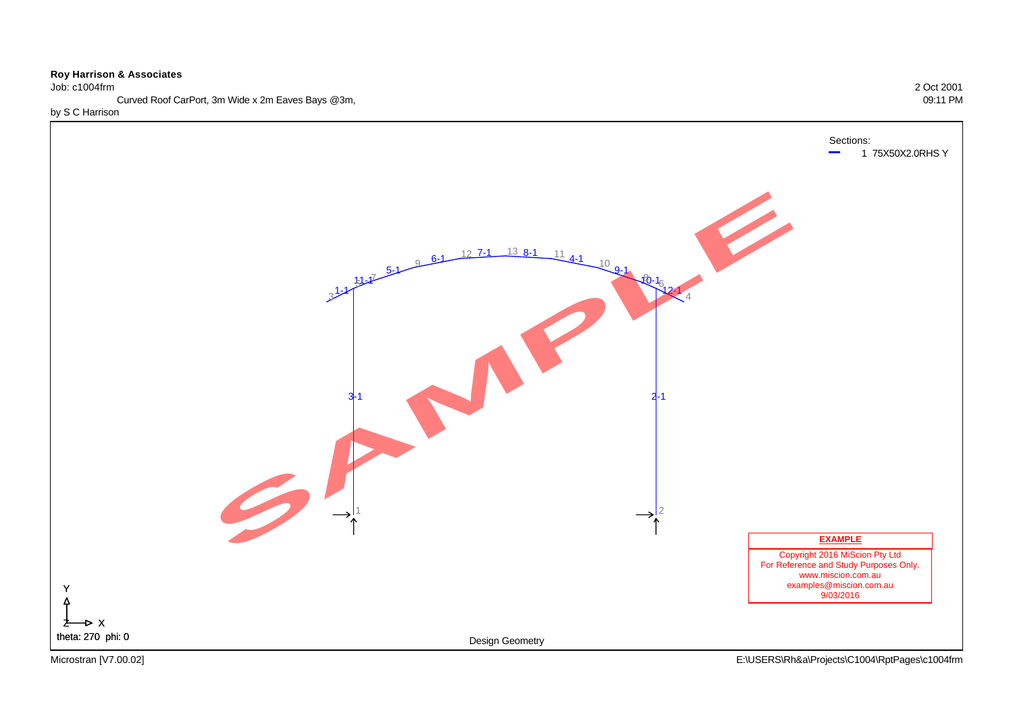#### Job: c1004frm 2 Oct 2001

Curved Roof CarPort, 3m Wide x 2m Eaves Bays @3m, 09:11 PM

by S C Harrison

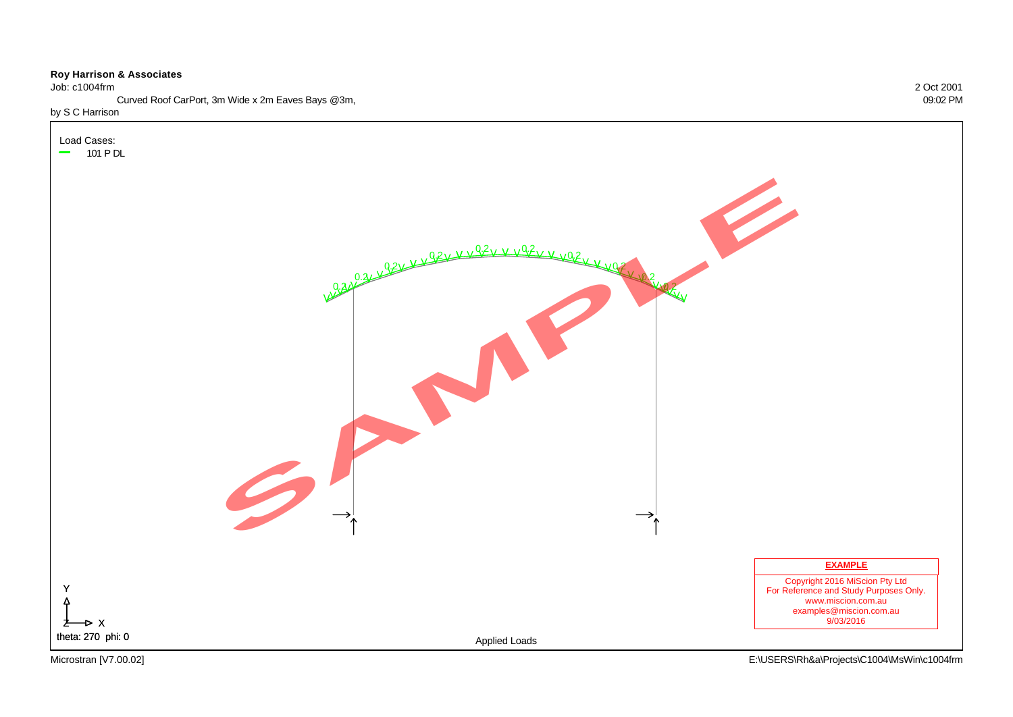Job: c1004frm 2 Oct 2001

Load Cases:

Curved Roof CarPort, 3m Wide x 2m Eaves Bays @3m, 09:02 PM

#### by S C Harrison



X Z

Y

 $\Delta$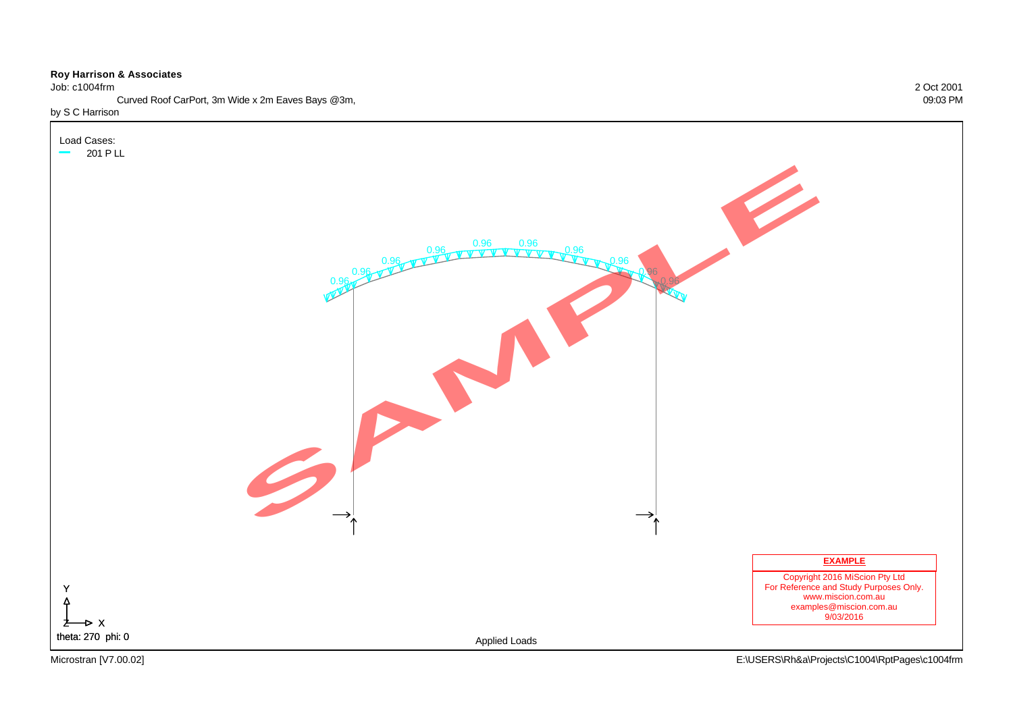Job: c1004frm 2 Oct 2001

Curved Roof CarPort, 3m Wide x 2m Eaves Bays @3m, 09:03 PM

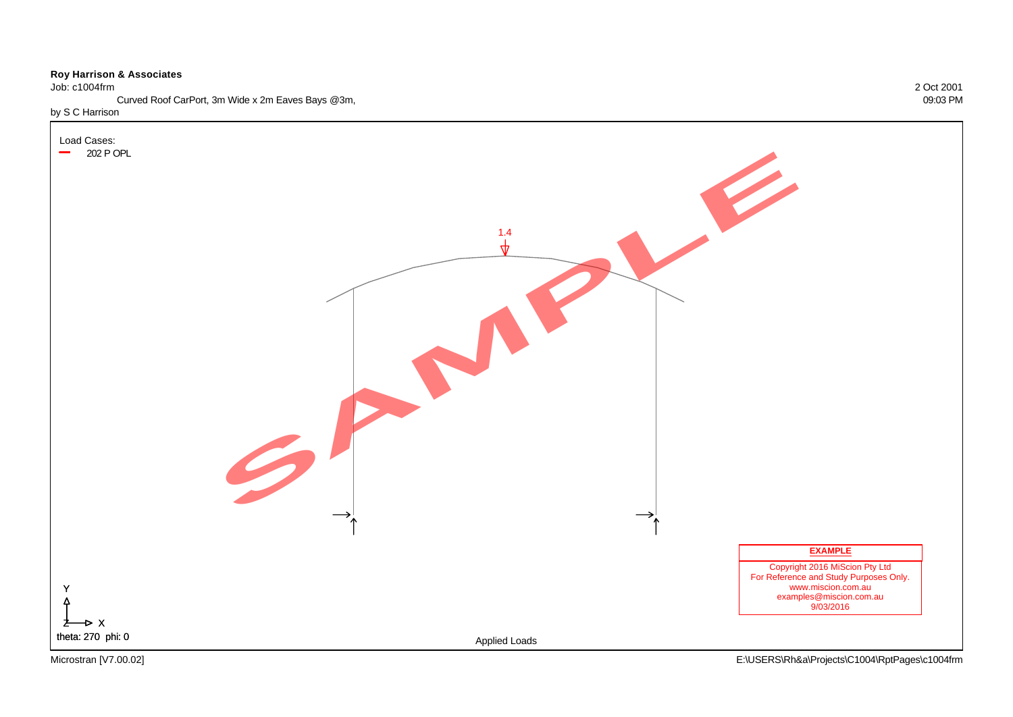#### Job: c1004frm 2 Oct 2001

Curved Roof CarPort, 3m Wide x 2m Eaves Bays @3m, 09:03 PM

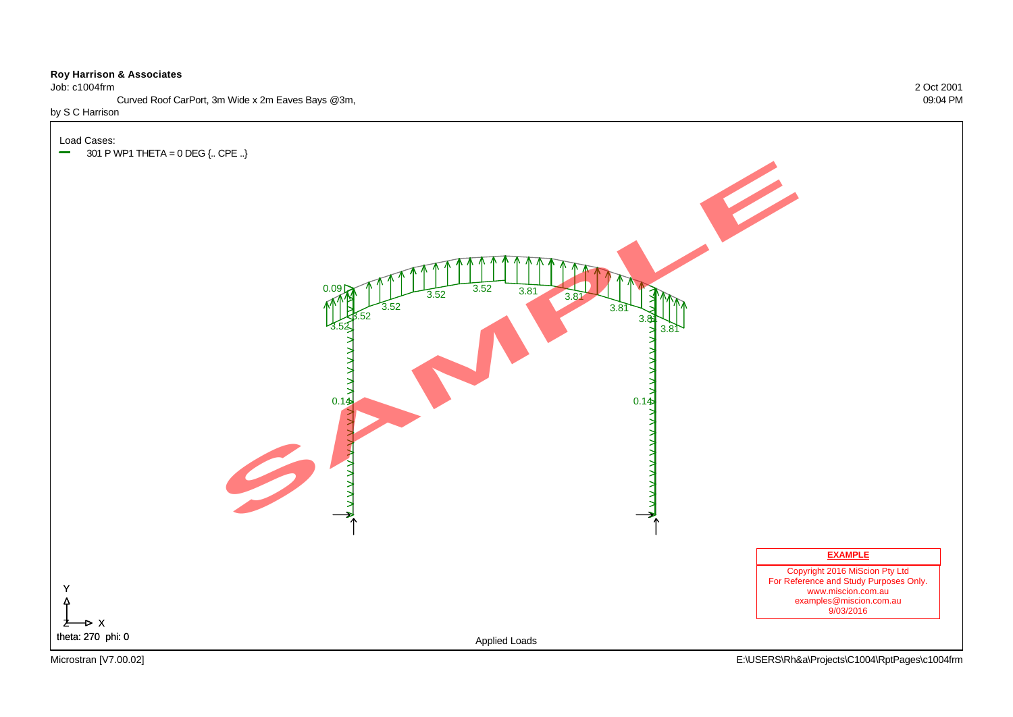Job: c1004frm 2 Oct 2001

Curved Roof CarPort, 3m Wide x 2m Eaves Bays @3m, 09:04 PM

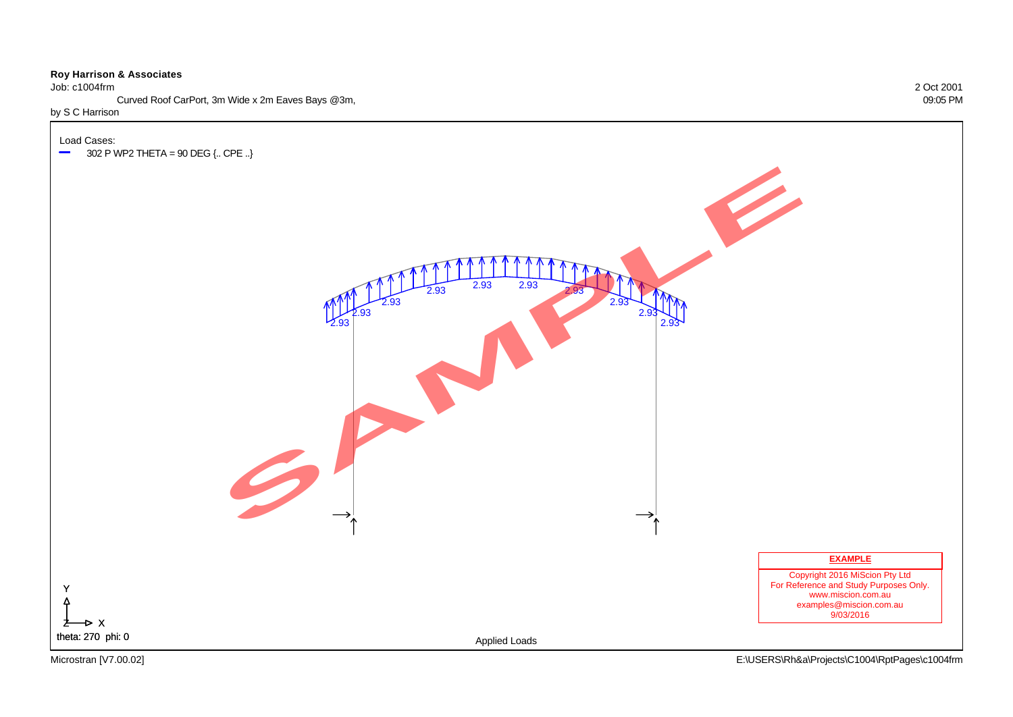Job: c1004frm 2 Oct 2001

Curved Roof CarPort, 3m Wide x 2m Eaves Bays @3m, 09:05 PM

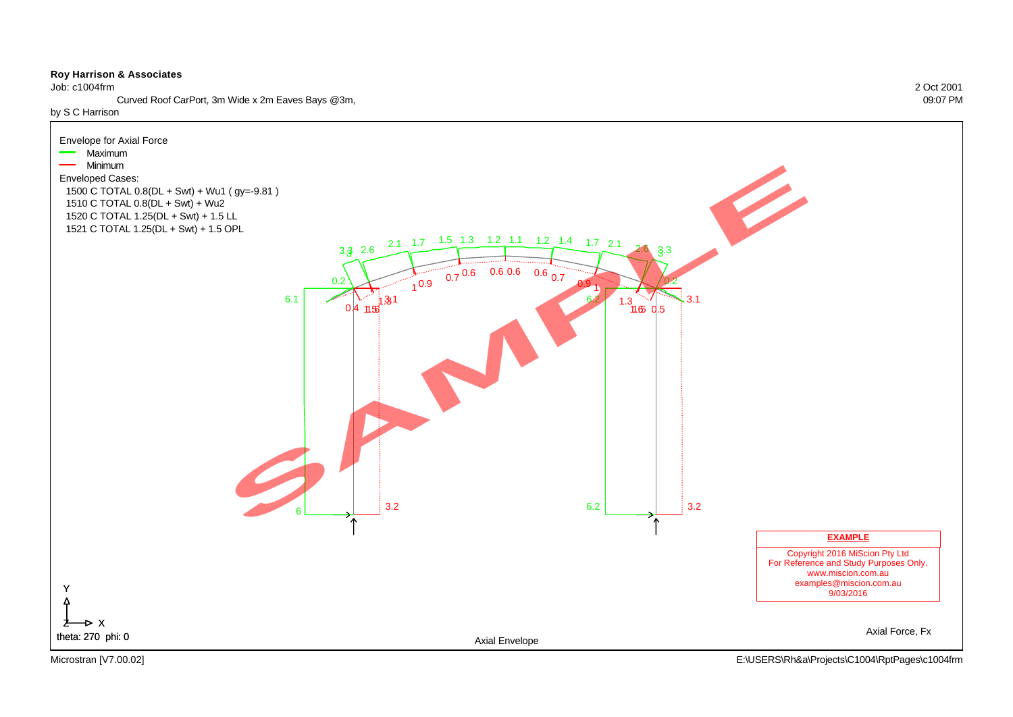Job: c1004frm 2 Oct 2001

Curved Roof CarPort, 3m Wide x 2m Eaves Bays @3m, 09:07 PM

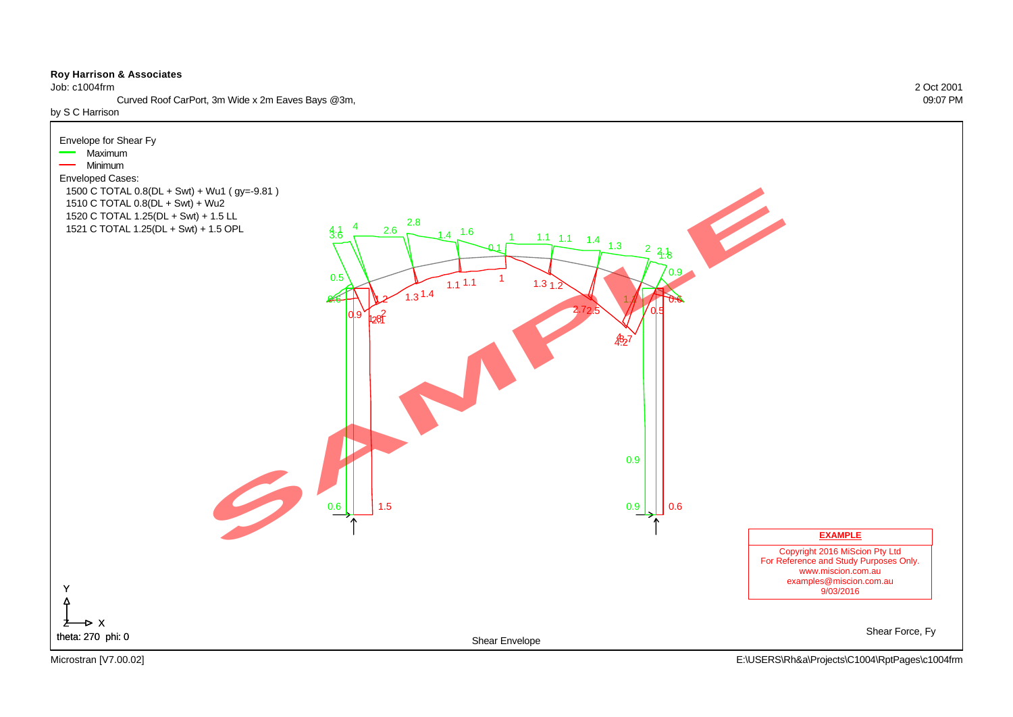Job: c1004frm 2 Oct 2001

Curved Roof CarPort, 3m Wide x 2m Eaves Bays @3m, 09:07 PM

by S C Harrison

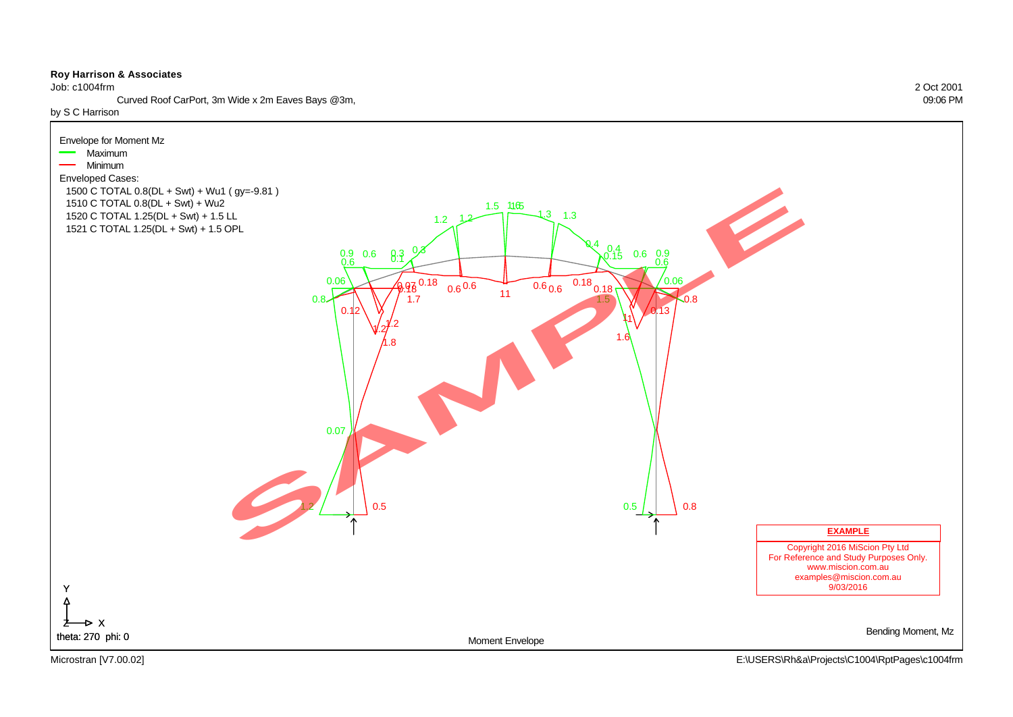Job: c1004frm 2 Oct 2001

Curved Roof CarPort, 3m Wide x 2m Eaves Bays @3m, 09:06 PM

by S C Harrison

![](_page_21_Figure_4.jpeg)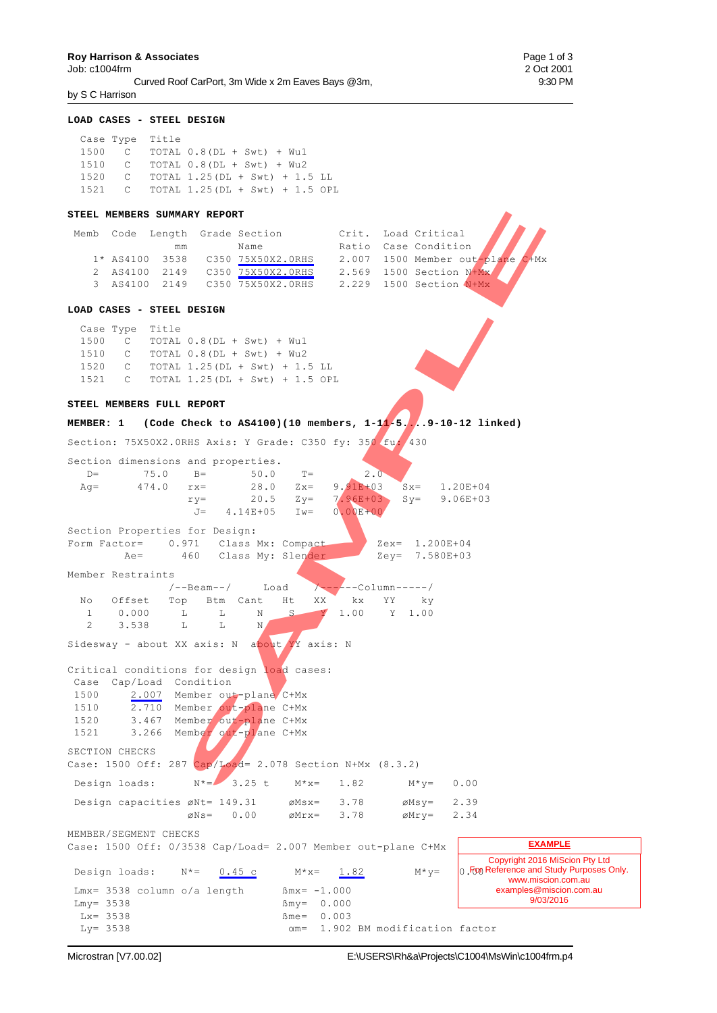Curved Roof CarPort, 3m Wide x 2m Eaves Bays @3m, 9:30 PM by S C Harrison

#### **LOAD CASES - STEEL DESIGN**

 Case Type Title 1500 C TOTAL 0.8(DL + Swt) + Wu1 1510 C TOTAL 0.8(DL + Swt) + Wu2 1520 C TOTAL 1.25(DL + Swt) + 1.5 LL 1521 C TOTAL 1.25(DL + Swt) + 1.5 OPL

#### **STEEL MEMBERS SUMMARY REPORT**

|  |    | Memb Code Length Grade Section   |  | Crit. Load Critical                         |  |
|--|----|----------------------------------|--|---------------------------------------------|--|
|  | mm | Name                             |  | Crit. Load Critical<br>Ratio Case Condition |  |
|  |    | 1* AS4100 3538 C350 75X50X2.0RHS |  | 2.007 1500 Member out-plane C+Mx            |  |
|  |    | 2 AS4100 2149 C350 75X50X2.0RHS  |  | 2.569 1500 Section N+Mx                     |  |
|  |    | 3 AS4100 2149 C350 75X50X2.0RHS  |  | 2.229 1500 Section N+Mx                     |  |

#### **LOAD CASES - STEEL DESIGN**

#### **STEEL MEMBERS FULL REPORT**

#### **MEMBER: 1 (Code Check to AS4100)(10 members, 1-11-5....9-10-12 linked)**

|                                |                                             | STEEL MEMBERS SUMMARY REPORT                        |                                   |                                                                                                                                                                          |                             |                                                                                                            |    |                                  |              |                                                                                                                                            |  |
|--------------------------------|---------------------------------------------|-----------------------------------------------------|-----------------------------------|--------------------------------------------------------------------------------------------------------------------------------------------------------------------------|-----------------------------|------------------------------------------------------------------------------------------------------------|----|----------------------------------|--------------|--------------------------------------------------------------------------------------------------------------------------------------------|--|
|                                |                                             | mm                                                  |                                   | Memb Code Length Grade Section<br>Name<br>1* AS4100 3538 C350 75X50X2.0RHS<br>2 AS4100 2149 C350 75X50X2.0RHS 2.569 1500 Section N+Mx<br>3 AS4100 2149 C350 75X50X2.0RHS |                             | Crit. Load Critical<br>Ratio Case Condition<br>2.007 1500 Member out-plane C+Mx<br>2.229 1500 Section N+Mx |    |                                  |              |                                                                                                                                            |  |
|                                |                                             | LOAD CASES - STEEL DESIGN                           |                                   |                                                                                                                                                                          |                             |                                                                                                            |    |                                  |              |                                                                                                                                            |  |
| 1500                           | Case Type Title                             |                                                     |                                   | C TOTAL $0.8$ (DL + Swt) + Wu1<br>1510 C TOTAL 0.8 (DL + Swt) + Wu2<br>1520 C TOTAL 1.25 (DL + Swt) + 1.5 LL<br>1521 C TOTAL 1.25 (DL + Swt) + 1.5 OPL                   |                             |                                                                                                            |    |                                  |              |                                                                                                                                            |  |
|                                |                                             | STEEL MEMBERS FULL REPORT                           |                                   |                                                                                                                                                                          |                             |                                                                                                            |    |                                  |              |                                                                                                                                            |  |
|                                |                                             |                                                     |                                   | MEMBER: 1 (Code Check to AS4100)(10 members, $1-11-5$ , 9-10-12 linked)                                                                                                  |                             |                                                                                                            |    |                                  |              |                                                                                                                                            |  |
| $D =$<br>$Aq=$                 |                                             | Section dimensions and properties.<br>75.0<br>474.0 | $B=$<br>$rx =$<br>$ry =$<br>$J =$ | Section: 75X50X2.0RHS Axis: Y Grade: C350 fy: 350 fu: 430<br>$50.0$ T=<br>28.0 $Zx = 9.91E+03$ $Sx = 1.20E+04$<br>$20.5$ $Zy=$<br>$4.14E+05$ Iw=                         |                             | 2.0<br>$7.96E+03$ Sy= 9.06E+03<br>$0.00E + 00$                                                             |    |                                  |              |                                                                                                                                            |  |
|                                | $Ae=$                                       | Section Properties for Design:                      |                                   | Form Factor= 0.971 Class Mx: Compact<br>460 Class My: Slender                                                                                                            |                             |                                                                                                            |    | Zex= 1.200E+04<br>Zey= 7.580E+03 |              |                                                                                                                                            |  |
|                                | Member Restraints                           |                                                     | /--Beam--/                        | Load                                                                                                                                                                     |                             | $/------Column---/$                                                                                        |    |                                  |              |                                                                                                                                            |  |
| No<br>$1 \quad$<br>$2^{\circ}$ | 0.000<br>3.538                              | Offset Top Btm Cant<br>$\mathbb{L}$<br>$\mathbb{Z}$ | L<br>$\mathbb{L}$                 | Ht<br>$S_{-}$<br>N<br>N<br>Sidesway - about XX axis: N about YY axis: N                                                                                                  | XX<br>Y                     | kx<br>1.00 Y                                                                                               | YY | ky<br>1.00                       |              |                                                                                                                                            |  |
| 1500<br>1510<br>1520<br>1521   |                                             | Case Cap/Load Condition                             |                                   | Critical conditions for design load cases:<br>2.007 Member out-plane C+Mx<br>2.710 Member out-plane C+Mx<br>3.467 Member out-plane C+Mx<br>3.266 Member out-plane C+Mx   |                             |                                                                                                            |    |                                  |              |                                                                                                                                            |  |
|                                | SECTION CHECKS                              |                                                     |                                   |                                                                                                                                                                          |                             |                                                                                                            |    |                                  |              |                                                                                                                                            |  |
|                                |                                             |                                                     | $N^* =$                           | Case: 1500 Off: 287 Cap/Load= 2.078 Section N+Mx (8.3.2)                                                                                                                 | $M * x =$                   | 1.82                                                                                                       |    |                                  |              |                                                                                                                                            |  |
|                                | Design loads:                               | Design capacities øNt= 149.31                       |                                   | $3.25$ t                                                                                                                                                                 | $\emptyset$ Msx=            | 3.78                                                                                                       |    | $M * y =$<br>$\emptyset$ Msy=    | 0.00<br>2.39 |                                                                                                                                            |  |
|                                |                                             |                                                     | $\varnothing$ Ns=                 | 0.00                                                                                                                                                                     | $\emptyset$ Mrx=            | 3.78                                                                                                       |    | øMry=                            | 2.34         |                                                                                                                                            |  |
|                                |                                             | MEMBER/SEGMENT CHECKS                               |                                   | Case: 1500 Off: 0/3538 Cap/Load= 2.007 Member out-plane C+Mx                                                                                                             |                             |                                                                                                            |    |                                  |              | <b>EXAMPLE</b>                                                                                                                             |  |
| $Lmy = 3538$                   | Design loads:<br>$Lx = 3538$<br>$Ly = 3538$ | $N^* =$<br>$Lmx = 3538$ column o/a length           | 0.45c                             | $\beta$ my=<br>$Bme =$<br>$\alpha$ m=                                                                                                                                    | $M * x =$<br>$Bmx = -1.000$ | 1.82<br>0.000<br>0.003<br>1.902 BM modification factor                                                     |    | $M * y =$                        |              | Copyright 2016 MiScion Pty Ltd<br>0. From Reference and Study Purposes Only.<br>www.miscion.com.au<br>examples@miscion.com.au<br>9/03/2016 |  |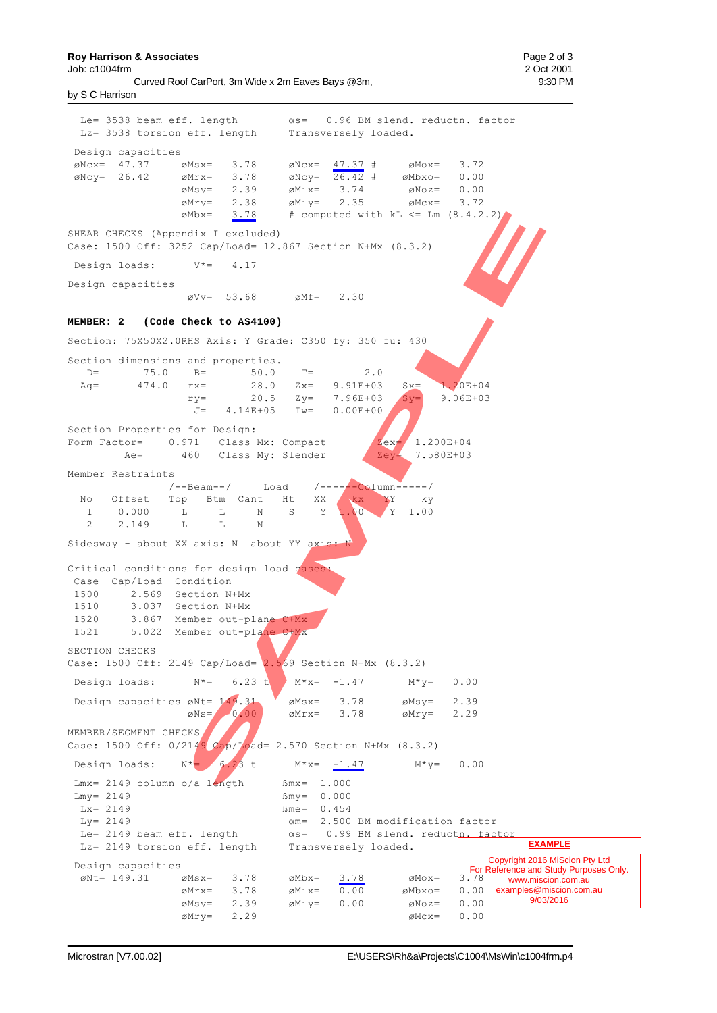**Roy Harrison & Associates Page 2 of 3 Page 2 of 3** 

by S C Harrison

Le= 3538 beam eff. length  $\alpha s=$  0.96 BM slend. reductn. factor Lz= 3538 torsion eff. length Transversely loaded. Design capacities  $\emptyset$ Ncx= 47.37  $\emptyset$ Msx= 3.78  $\emptyset$ Ncx= 47.37 #  $\emptyset$ Mox= 3.72  $\begin{array}{ccccccccc} \text{\&eV} = & 26.42 & \text{\&eMrx} = & 3.78 & \text{\&eMcy} = & 26.42 & \text{\#} & \text{\&eMbx} = & 0.00 \\ & & & & & & & & \\ \text{\&eMsy} = & 2.39 & \text{\&eMix} = & 3.74 & \text{\&eMoz} = & 0.00 \\ \end{array}$  $\varnothing$ Msy= 2.39  $\varnothing$ Mix= 3.74  $\varnothing$ Noz= 0.00  $\varnothing$ Mry= 2.38  $\varnothing$ Miy= 2.35  $\varnothing$ Mcx= 3.72  $\emptyset$ Mbx=  $3.78$  # computed with kL <= Lm  $(8.4.2.2)$ SHEAR CHECKS (Appendix I excluded) Case: 1500 Off: 3252 Cap/Load= 12.867 Section N+Mx (8.3.2) Design loads:  $V^* = 4.17$ Design capacities  $\varnothing$ Vv= 53.68  $\varnothing$ Mf= 2.30 **MEMBER: 2 (Code Check to AS4100)** Section: 75X50X2.0RHS Axis: Y Grade: C350 fy: 350 fu: 430 Section dimensions and properties. D= 75.0 B= 50.0 T= 2.0<br>Ag= 474.0 rx= 28.0 Zx= 9.91E+03 Ag= 474.0 rx= 28.0 Zx= 9.91E+03 Sx= 1.20E+04  $ry=$  20.5 Zy= 7.96E+03 Sy= 9.06E+03<br>J= 4.14E+05 Iw= 0.00E+00  $J= 4.14E+05$ Section Properties for Design: Form Factor=  $0.971$  Class Mx: Compact  $\chi_{\text{ex}} = 460$  Class My: Slender  $\chi_{\text{ex}} = 7.580E+03$ Ae= 460 Class My: Slender Member Restraints /--Beam--/ Load /------Column-----/<br>Top Btm Cant Ht XX kx YY ky No Offset Top Btm Cant Ht XX kx 1 0.000 L L N S Y 1.00 Y 1.00 2 2.149 T. T. N. Sidesway - about XX axis: N about YY axis: Critical conditions for design load cases: Case Cap/Load Condition 1500 2.569 Section N+Mx 1510 3.037 Section N+Mx 1520 3.867 Member out-plane C+Mx 1521 5.022 Member out-plane C+Mx SECTION CHECKS Case: 1500 Off: 2149 Cap/Load=  $2.569$  Section N+Mx (8.3.2) Design loads:  $N^* = 6.23 \text{ t}$   $M^*x = -1.47$   $M^*y = 0.00$ Design capacities  $\varnothing$ Nt=  $\begin{array}{ccc} 149.31 & \varnothing$ Msx= 3.78  $\varnothing$ Msy= 2.39<br>  $\varnothing$ Ns= 0.00  $\varnothing$ Mrx= 3.78  $\varnothing$ Mry= 2.29  $\emptyset$ Ns=  $\{0.00\}$   $\emptyset$ Mrx= 3.78  $\emptyset$ Mry= 2.29 MEMBER/SEGMENT CHECKS Case: 1500 Off: 0/2149 Cap/Load= 2.570 Section N+Mx (8.3.2) Design loads:  $N^* = 6.23$  t  $M^* = 1.47$   $M^* = 0.00$  $Lmx = 2149$  column o/a length  $Bmx = 1.000$  $\text{Lmy} = 2149$   $\text{Bmy} = 0.000$ <br> $\text{Lx} = 2149$   $\text{Bme} = 0.454$  $Bme = 0.454$  $Ly = 2149$   $\alpha m = 2.500$  BM modification factor Le= 2149 beam eff. length  $\alpha s= 0.99$  BM slend. reductn. factor Lz= 2149 torsion eff. length Transversely loaded. Design capacities  $\begin{array}{ccccccccc} \varnothing \text{Nt} = & 149.31 & & \varnothing \text{Ms} \text{x} = & 3.78 & & \varnothing \text{Mb} \text{x} = & & 3.78 & & \varnothing \text{Mo} \text{x} = & & & \\ & & \varnothing \text{Mr} \text{x} = & 3.78 & & \varnothing \text{Mi} \text{x} = & & 0.00 & & & \varnothing \text{Mb} \text{x} \text{x} = & & & \end{array}$  ÌMrx= 3.78 ÌMix= 0.00 ÌMbxo= 0.00  $\emptyset$ Miy= 0.00  $\emptyset$ Noz=  $\begin{bmatrix} 0.00 \\ 0.00 \end{bmatrix}$  $\varnothing$ Mry= 2.29  $\varnothing$ Mcx= 0.00 Copyright 2016 MiScion Pty Ltd For Reference and Study Purposes Only. www.miscion.com.au 0.00 examples@miscion.com.au 9/03/2016 **EXAMPLE** Mbx = 3.78 **f** computed with kL <= 1m (8.4.2.2)<br>
S2 Cap/10ad- 12.867 Section NHX (8.3.2)<br>
V\*= 4.17<br>
sVv = 53.68 eMf = 2.30<br>
Check to A54100)<br>
RHS Axis: Y Grade: C350 fy: 350 fu: 430<br>
n-<br>
n-<br>
n-<br>
50.0 T- 2.0<br>
n-<br>
n-<br>
for be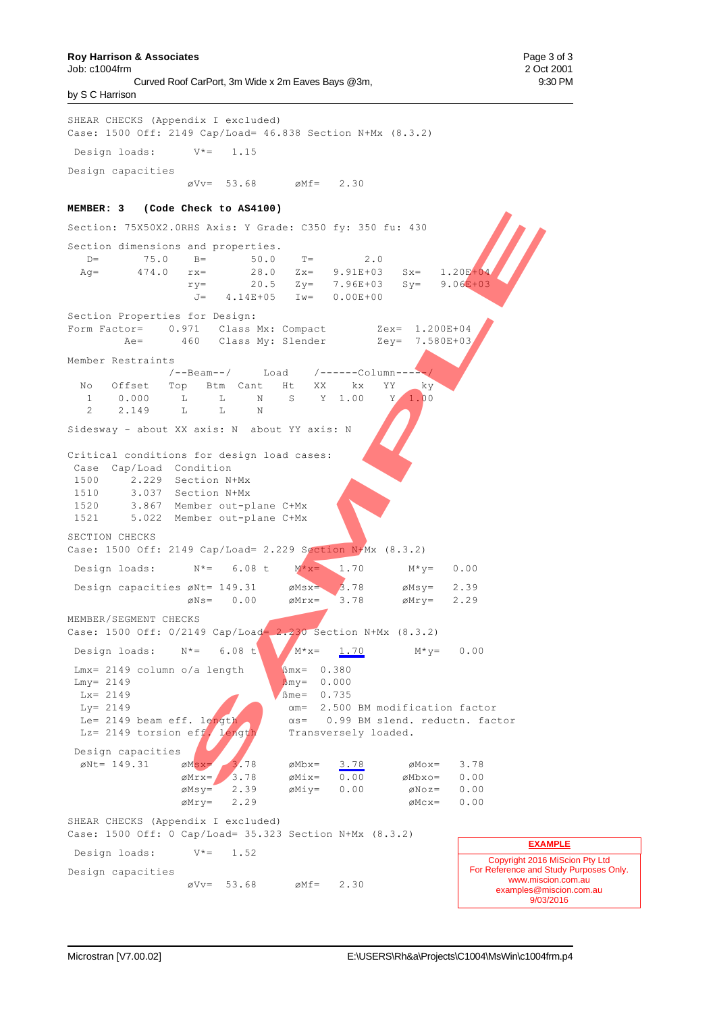Job: c1004frm 2 Oct 2001 Curved Roof CarPort, 3m Wide x 2m Eaves Bays @3m, 9:30 PM by S C Harrison

SHEAR CHECKS (Appendix I excluded) Case: 1500 Off: 2149 Cap/Load= 46.838 Section N+Mx (8.3.2) Design loads:  $V^* = 1.15$ Design capacities  $\alpha Vv = 53.68$   $\alpha Mf = 2.30$ **MEMBER: 3 (Code Check to AS4100)** Section: 75X50X2.0RHS Axis: Y Grade: C350 fy: 350 fu: 430 Section dimensions and properties. D=  $75.0$  B=  $50.0$  T=  $2.0$ <br>Ag=  $474.0$  rx=  $28.0$  Zx=  $9.91E+03$ Ag= 474.0 rx= 28.0 Zx= 9.91E+03 Sx= 1.20E+04  $ry=$  20.5  $Zy=$  7.96E+03 Sy= 9.06E+03 J= 4.14E+05 Iw= 0.00E+00 Section Properties for Design: Form Factor= 0.971 Class Mx: Compact Zex= 1.200E+04 Ae= 460 Class My: Slender Zey= 7.580E+03 Member Restraints /--Beam--/ Load /------Column-----/ No Offset Top Btm Cant Ht XX kx YY ky 1 0.000 L L N S Y 1.00 Y 1.00 2 2.149 L L N Sidesway - about XX axis: N about YY axis: N Critical conditions for design load cases: Case Cap/Load Condition 1500 2.229 Section N+Mx 1510 3.037 Section N+Mx 1520 3.867 Member out-plane C+Mx 1521 5.022 Member out-plane C+Mx SECTION CHECKS Case: 1500 Off: 2149 Cap/Load= 2.229 Section N+Mx (8.3.2) Design loads:  $N^* = 6.08 \text{ t}$   $M^*x = 1.70$   $M^*y = 0.00$ Design capacities  $\varnothing$ Nt= 149.31  $\varnothing$ Msx= 3.78  $\varnothing$ Msy= 2.39  $\varnothing$ Ns= 0.00  $\varnothing$ Mrx= 3.78  $\varnothing$ Mry= 2.29 MEMBER/SEGMENT CHECKS Case: 1500 Off: 0/2149 Cap/Load= 2.230 Section N+Mx (8.3.2) Design loads:  $N^* = 6.08 \text{ t}$   $M^*x = 1.70$   $M^*y = 0.00$ Lmx= 2149 column o/a length  $$\beta$ mx= 0.380  $Lmv = 2149$   $Bmv = 0.000$  $Lx = 2149$ <br> $Ly = 2149$ <br> $Gm = 2.500$  $\alpha$ m= 2.500 BM modification factor Le= 2149 beam eff. length  $\alpha$ s= 0.99 BM slend. reductn. factor Lz= 2149 torsion eff. length Transversely loaded. Design capacities  $\emptyset$ Nt= 149.31  $\emptyset$ Msx= 3.78  $\emptyset$ Mbx= 3.78  $\emptyset$ Mox= 3.78<br>  $\emptyset$ Mrx= 3.78  $\emptyset$ Mix= 0.00  $\emptyset$ Mbxo= 0.00  $\varnothing$ Mrx= 3.78  $\varnothing$ Mix= 0.00  $\varnothing$ Mbxo= 0.00  $\emptyset$ Msy= 2.39  $\emptyset$ Miy= 0.00  $\emptyset$ Noz= 0.00<br> $\emptyset$ Mrv= 2.29  $\emptyset$ Mcx= 0.00  $\varnothing$ Mry= 2.29  $\varnothing$ Mcx= 0.00 SHEAR CHECKS (Appendix I excluded) Case: 1500 Off: 0 Cap/Load= 35.323 Section N+Mx (8.3.2) Design loads:  $V^* = 1.52$ Design capacities  $\varnothing$ Vv= 53.68  $\varnothing$ Mf= 2.30 Copyright 2016 MiScion Pty Ltd For Reference and Study Purposes Only. www.miscion.com.au examples@miscion.com.au 9/03/2016 **EXAMPLE CHERAKIS: Y Grade: C350 fy:** 350 fu: 430<br>
and properties.<br>  $\frac{9}{2}$  = 50.0 2x= 9.912+03 8x= 1.201.00<br>  $\frac{1}{3}$  FX= 20.5 2y= 7.686+03 8y= 9.001.00<br>  $\frac{1}{3}$  = 4.142+05 Iw= 0.002+00<br>  $\frac{1}{3}$  = 4.142+05 Iw= 0.002+00<br>  $\$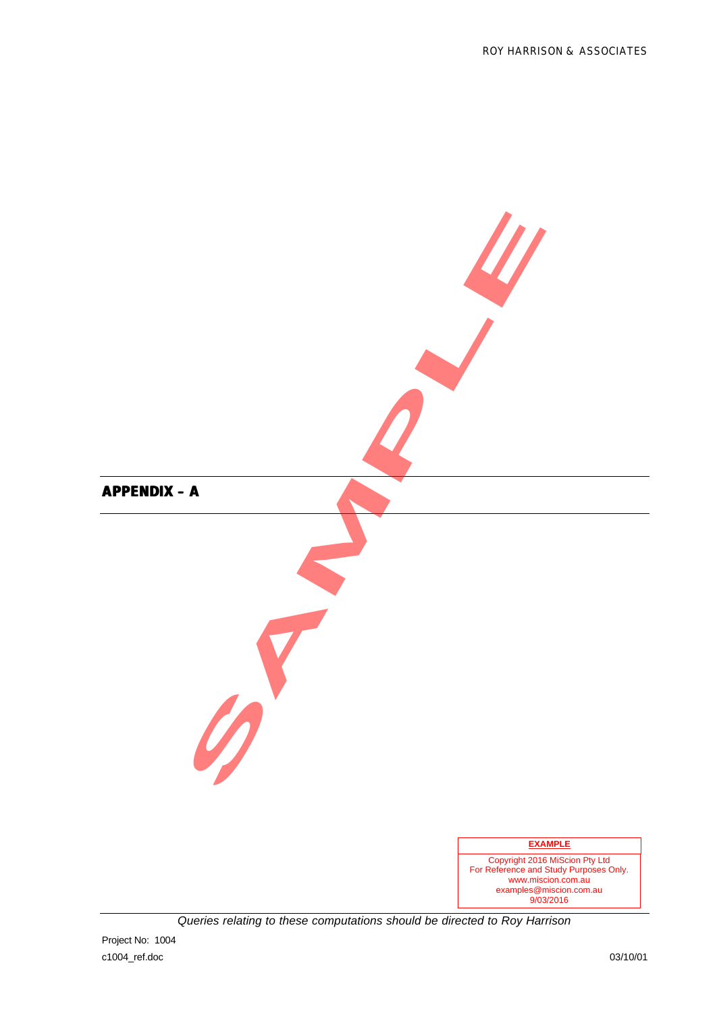![](_page_25_Figure_1.jpeg)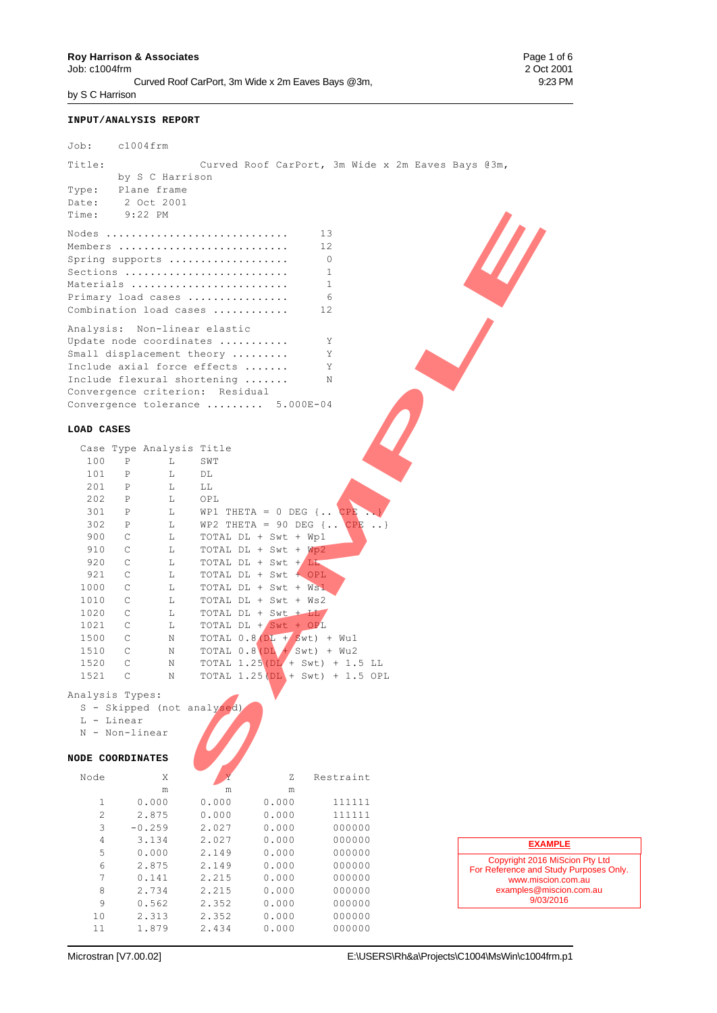**Roy Harrison & Associates** Page 1 of 6<br>
Job: c1004frm 2 Oct 2001 Job: c1004frm Curved Roof CarPort, 3m Wide x 2m Eaves Bays @3m, 9:23 PM by S C Harrison

Job: c1004frm

#### **INPUT/ANALYSIS REPORT**

| Title:                                        |                                      | Curved Roof CarPort, 3m Wide x 2m Eaves Bays @3m, |
|-----------------------------------------------|--------------------------------------|---------------------------------------------------|
|                                               | by S C Harrison                      |                                                   |
| Type:<br>Plane frame                          |                                      |                                                   |
| Date:<br>2 Oct 2001                           |                                      |                                                   |
| Time:<br>$9:22$ PM                            |                                      |                                                   |
|                                               |                                      |                                                   |
| Nodes                                         |                                      | 13                                                |
| Members                                       |                                      | 12                                                |
| Spring supports                               |                                      | 0                                                 |
| Sections                                      |                                      | 1                                                 |
| Materials                                     |                                      | 1                                                 |
| Primary load cases                            |                                      | 6                                                 |
| Combination load cases                        |                                      | 12                                                |
| Analysis: Non-linear elastic                  |                                      |                                                   |
| Update node coordinates                       |                                      | Υ                                                 |
| Small displacement theory                     |                                      | Υ                                                 |
| Include axial force effects                   |                                      | Y                                                 |
| Include flexural shortening                   |                                      | N                                                 |
| Convergence criterion: Residual               |                                      |                                                   |
|                                               |                                      | Convergence tolerance  5.000E-04                  |
|                                               |                                      |                                                   |
| LOAD CASES                                    |                                      |                                                   |
|                                               |                                      |                                                   |
| 100<br>$\mathbf P$                            | Case Type Analysis Title<br>L<br>SWT |                                                   |
|                                               |                                      |                                                   |
| 101<br>$\, {\mathbb P}$<br>201<br>$\mathbf P$ | L<br>DL                              |                                                   |
| 202<br>$\mathbf P$                            | L<br>LL                              |                                                   |
| $\mathbf P$                                   | L<br>OPL                             |                                                   |
| 301<br>302                                    | L                                    | WP1 THETA = $0$ DEG $\{ \cdot \cdot \}$ CPE       |
| $\, {\mathbb P}$<br>900                       | L                                    | WP2 THETA = 90 DEG $\{\ldots$ CPE<br>$\ldots$     |
| C<br>C                                        | L                                    | TOTAL DL + Swt + Wp1                              |
| 910<br>920<br>$\mathsf{C}$                    | L<br>L                               | TOTAL DL + Swt + Wp2<br>TOTAL DL + Swt + LL       |
| $\mathsf C$<br>921                            | L                                    | TOTAL DL + Swt + OPL                              |
| 1000<br>C                                     |                                      |                                                   |
| 1010<br>C                                     | L<br>L                               | TOTAL DL + Swt + Ws1<br>TOTAL DL + Swt + Ws2      |
| 1020<br>$\mathsf C$                           | L                                    | TOTAL DL + Swt + LL                               |
| $\mathsf C$<br>1021                           | L                                    | TOTAL DL + Swt + OPL                              |
| 1500<br>C                                     | Ν                                    | TOTAL $0.8(DL + Swt) + Wu1$                       |
| 1510<br>C                                     | Ν                                    | TOTAL $0.8$ (DL $+$ Swt) + Wu2                    |
| $\mathsf{C}$<br>1520                          | Ν                                    | TOTAL $1.25(DL + Swt) + 1.5 LL$                   |
| $\mathsf C$<br>1521                           | N                                    | TOTAL $1.25(DL + Swt) + 1.5 OPL$                  |
|                                               |                                      |                                                   |
| Analysis Types:                               |                                      |                                                   |
|                                               | S - Skipped (not analysed)           |                                                   |
| L - Linear                                    |                                      |                                                   |
| N - Non-linear                                |                                      |                                                   |
|                                               |                                      |                                                   |
| NODE COORDINATES                              |                                      |                                                   |
| Node                                          | Χ                                    | Ζ<br>Restraint                                    |
|                                               |                                      |                                                   |

#### **LOAD CASES**

|      |              | Case Type Analysis Title |                                            |
|------|--------------|--------------------------|--------------------------------------------|
| 100  | P            | L                        | SWT                                        |
| 101  | $\mathbf P$  | L                        | DL                                         |
| 201  | $\mathbf P$  | L                        | LL                                         |
| 202  | $\mathbf P$  | L                        | OPL                                        |
| 301  | $\mathbf{P}$ | L                        | WP1<br>THETA = $0$ DEG {<br>CPE            |
| 302  | $\mathbf P$  | L                        | WP2 THETA = 90 DEG $\{\cdot\,\cdot\,\$ CPE |
| 900  | C            | L                        | TOTAL DL + Swt + Wp1                       |
| 910  | C            | L                        | TOTAL $DL + Swt + Wp2$                     |
| 920  | $\mathsf{C}$ | L                        | TOTAL DL + Swt + LL                        |
| 921  | C            | L                        | TOTAL DL + Swt + OPL                       |
| 1000 | C            | L                        | TOTAL DL + Swt + Ws1                       |
| 1010 | C            | L                        | TOTAL DL + Swt + Ws2                       |
| 1020 | C            | L                        | TOTAL DL + Swt + LL                        |
| 1021 | C            | L                        | TOTAL DL $+$ Swt $+$ OPL                   |
| 1500 | C            | N                        | TOTAL $0.8(DL + Swt) + Wu1$                |
| 1510 | C            | N                        | TOTAL $0.8$ (DL $+$ Swt) + Wu2             |
| 1520 | C            | N                        | TOTAL $1.25(DL + Swt) + 1.5 LL$            |
| 1521 | C            | N                        | TOTAL $1.25(DL + Swt)$<br>$+1.5$ OPL       |

#### Analysis Types:

- L Linear
- N Non-linear

#### **NODE COORDINATES**

| Node           | X        |       | Z     | Restraint |
|----------------|----------|-------|-------|-----------|
|                | m        | m     | m     |           |
| 1              | 0.000    | 0.000 | 0.000 | 111111    |
| $\mathcal{L}$  | 2.875    | 0.000 | 0.000 | 111111    |
| 3              | $-0.259$ | 2.027 | 0.000 | 000000    |
| $\overline{4}$ | 3.134    | 2.027 | 0.000 | 000000    |
| 5              | 0.000    | 2.149 | 0.000 | 000000    |
| 6              | 2.875    | 2.149 | 0.000 | 000000    |
| 7              | 0.141    | 2.215 | 0.000 | 000000    |
| 8              | 2.734    | 2.215 | 0.000 | 000000    |
| 9              | 0.562    | 2.352 | 0.000 | 000000    |
| 1 <sub>0</sub> | 2.313    | 2.352 | 0.000 | 000000    |
| 11             | 1.879    | 2.434 | 0.000 | 000000    |
|                |          |       |       |           |

| <b>EXAMPLE</b>                         |
|----------------------------------------|
| Copyright 2016 MiScion Pty Ltd         |
| For Reference and Study Purposes Only. |
| www.miscion.com.au                     |
| examples@miscion.com.au                |
| 9/03/2016                              |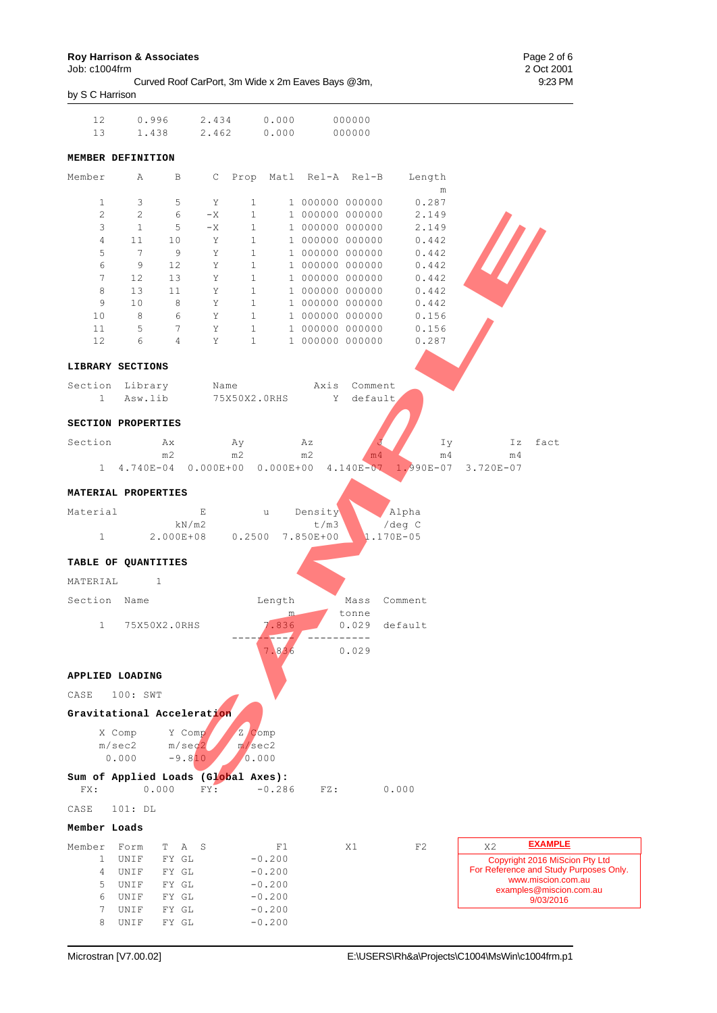Job: c1004frm<br>Curved Roof CarPort, 3m Wide x 2m Eaves Bays @3m, 2 Oct 2001 Curved Roof CarPort, 3m Wide x 2m Eaves Bays @3m, by S C Harrison

| 13                                               |                                              | $0.996$ $2.434$ $0.000$                    |                                             |                      |                                    | 000000         |                                                                       |                             |                                                     |
|--------------------------------------------------|----------------------------------------------|--------------------------------------------|---------------------------------------------|----------------------|------------------------------------|----------------|-----------------------------------------------------------------------|-----------------------------|-----------------------------------------------------|
|                                                  | 1.438                                        |                                            | 2.462 0.000                                 |                      |                                    | 000000         |                                                                       |                             |                                                     |
|                                                  | MEMBER DEFINITION                            |                                            |                                             |                      |                                    |                |                                                                       |                             |                                                     |
|                                                  | Member A                                     | $\mathbf{B}$                               |                                             |                      | C Prop Matl Rel-A Rel-B            |                | Length<br>${\rm m}$                                                   |                             |                                                     |
| $\mathbf{1}$                                     | 3                                            | 5<br>Y                                     | $\mathbf{1}$                                |                      | 1 000000 000000                    |                | 0.287                                                                 |                             |                                                     |
| $\overline{2}$                                   | $\mathbf{2}$                                 | 6<br>$-X$                                  | $\mathbf{1}$                                |                      | 1 000000 000000                    |                | 2.149                                                                 |                             |                                                     |
| 3                                                | $\mathbf{1}$                                 | 5<br>$-X$                                  | $\mathbf{1}$                                |                      | 1 000000 000000                    |                | 2.149                                                                 |                             |                                                     |
| 4                                                | 11                                           | Y<br>10                                    | $\mathbf{1}$                                |                      | 1 000000 000000                    |                | 0.442                                                                 |                             |                                                     |
| 5                                                | $7\phantom{.0}$                              | 9                                          | $\mathbf Y$<br>$\mathbf{1}$                 |                      | 1 000000 000000                    |                | 0.442                                                                 |                             |                                                     |
| 6                                                | 9                                            | $\mathbf Y$<br>12                          | $\mathbf{1}$                                |                      | 1 000000 000000                    |                | 0.442                                                                 |                             |                                                     |
| $7\phantom{.0}$                                  | 12                                           | 13                                         | $\mathbf Y$<br>$\mathbf{1}$                 |                      | 1 000000 000000                    |                | 0.442                                                                 |                             |                                                     |
| 8                                                | 13                                           | 11                                         | $Y$ and $Y$<br>$\mathbf{1}$                 |                      | 1 000000 000000                    |                | 0.442                                                                 |                             |                                                     |
| 9                                                | 10<br>8                                      | 8<br>6<br>Y                                | $\mathbf Y$<br>$\mathbf{1}$<br>$\mathbf{1}$ |                      | 1 000000 000000<br>1 000000 000000 |                | 0.442<br>0.156                                                        |                             |                                                     |
| 10<br>11                                         | 5                                            | $7\phantom{.0}$                            | $\mathbf{Y}$<br>$\mathbf{1}$                |                      | 1 000000 000000                    |                | 0.156                                                                 |                             |                                                     |
| 12                                               | 6                                            | $\overline{4}$                             | $Y$ and $Y$<br>$\mathbf{1}$                 |                      | 1 000000 000000                    |                | 0.287                                                                 |                             |                                                     |
|                                                  |                                              |                                            |                                             |                      |                                    |                |                                                                       |                             |                                                     |
|                                                  | LIBRARY SECTIONS                             |                                            |                                             |                      |                                    |                |                                                                       |                             |                                                     |
|                                                  | Section Library                              |                                            |                                             |                      | Name Axis Comment                  |                |                                                                       |                             |                                                     |
| 1                                                | Asw.lib                                      |                                            |                                             |                      | 75X50X2.0RHS Y default             |                |                                                                       |                             |                                                     |
|                                                  | SECTION PROPERTIES                           |                                            |                                             |                      |                                    |                |                                                                       |                             |                                                     |
| Section                                          | <b>Ax</b>                                    |                                            | Ay                                          |                      | Αz                                 |                | Iу                                                                    | Ιz                          | fact                                                |
|                                                  | m2                                           |                                            | m2                                          |                      | m2                                 | m <sub>4</sub> | m <sub>4</sub><br>1 4.740E-04 0.000E+00 0.000E+00 4.140E-07 1.990E-07 | m <sub>4</sub><br>3.720E-07 |                                                     |
| Material<br>$1 \quad$<br>MATERIAL                | TABLE OF QUANTITIES<br>$\sim$ 1              | E<br>kN/m2<br>2.000E+08  0.2500  7.850E+00 | $\mathbf u$                                 |                      | Density<br>t/m3                    |                | Alpha<br>/deg C<br>$.170E - 05$                                       |                             |                                                     |
|                                                  |                                              |                                            |                                             |                      |                                    |                |                                                                       |                             |                                                     |
| Section Name                                     |                                              |                                            |                                             | Length<br>m.         |                                    | Mass<br>tonne  | Comment                                                               |                             |                                                     |
|                                                  | 1 75X50X2.0RHS                               |                                            |                                             | 7.836<br>- 7         |                                    |                | 0.029 default                                                         |                             |                                                     |
|                                                  |                                              |                                            |                                             | 7.836                |                                    | 0.029          |                                                                       |                             |                                                     |
|                                                  | APPLIED LOADING<br>100: SWT                  |                                            |                                             |                      |                                    |                |                                                                       |                             |                                                     |
|                                                  |                                              |                                            |                                             |                      |                                    |                |                                                                       |                             |                                                     |
|                                                  | Gravitational Acceleration                   |                                            |                                             |                      |                                    |                |                                                                       |                             |                                                     |
|                                                  | X Comp<br>m/sec2<br>0.000                    | Y Comp<br>m/sec2<br>$-9.810$               | Z Comp<br>m/sec2<br>0.000                   |                      |                                    |                |                                                                       |                             |                                                     |
| FX:                                              | Sum of Applied Loads (Global Axes):<br>0.000 | FY:                                        |                                             | $-0.286$             | FZ:                                |                | 0.000                                                                 |                             |                                                     |
|                                                  | 101: DL                                      |                                            |                                             |                      |                                    |                |                                                                       |                             |                                                     |
|                                                  |                                              |                                            |                                             |                      |                                    |                |                                                                       |                             |                                                     |
|                                                  | Form<br>T.                                   | A<br>S                                     |                                             | F1                   |                                    | X1             | F2                                                                    | X2                          | <b>EXAMPLE</b>                                      |
| $\mathbf{1}$                                     | UNIF                                         | FY GL                                      |                                             | $-0.200$             |                                    |                |                                                                       |                             | Copyright 2016 MiScion Pty Ltd                      |
| 4                                                | UNIF                                         | FY GL                                      |                                             | $-0.200$             |                                    |                |                                                                       |                             | www.miscion.com.au                                  |
| 5                                                | UNIF                                         | FY GL                                      |                                             | $-0.200$             |                                    |                |                                                                       |                             | examples@miscion.com.au                             |
| CASE<br>CASE<br>Member Loads<br>Member<br>6<br>7 | UNIF<br>UNIF                                 | FY GL<br>FY GL                             |                                             | $-0.200$<br>$-0.200$ |                                    |                |                                                                       |                             | For Reference and Study Purposes Only.<br>9/03/2016 |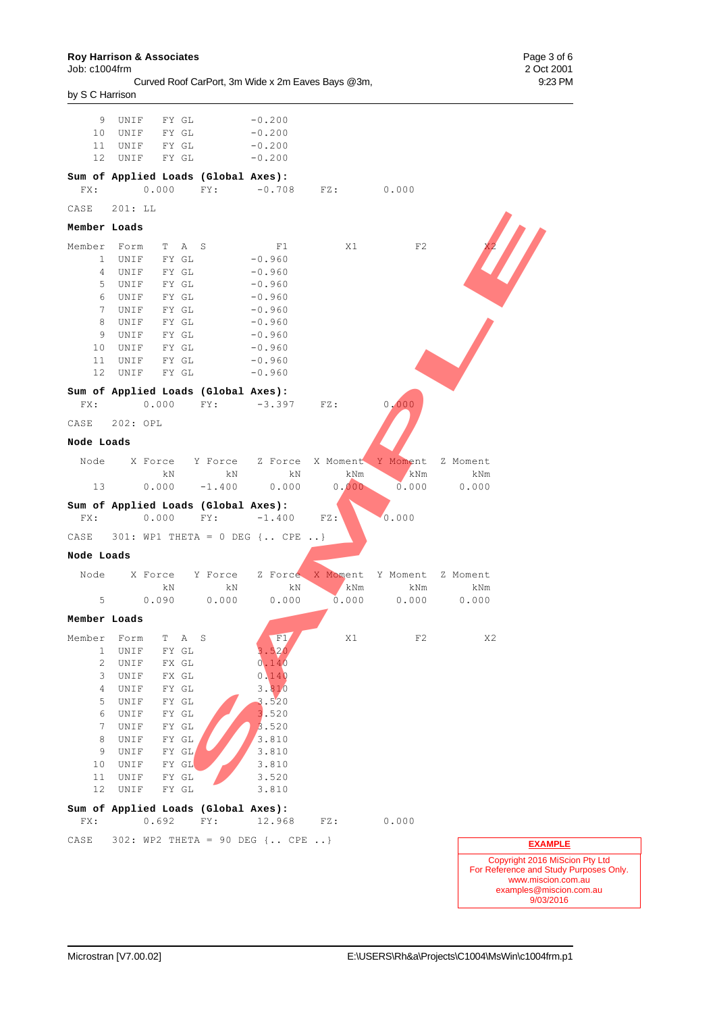**Roy Harrison & Associates** Page 3 of 6

| Job: c1004frm                                     | 2 Oct 2001 |
|---------------------------------------------------|------------|
| Curved Roof CarPort, 3m Wide x 2m Eaves Bays @3m, | 9:23 PM    |
| by S C Harrison                                   |            |
|                                                   |            |

|              | 9 UNIF FYGL              |                       |                                     | $-0.200$                               |                                                         |                 |                 |                          |
|--------------|--------------------------|-----------------------|-------------------------------------|----------------------------------------|---------------------------------------------------------|-----------------|-----------------|--------------------------|
|              | 10 UNIF FY GL            |                       |                                     | $-0.200$                               |                                                         |                 |                 |                          |
|              | 11 UNIF FY GL            |                       |                                     | $-0.200$                               |                                                         |                 |                 |                          |
|              | 12 UNIF FY GL            |                       |                                     | $-0.200$                               |                                                         |                 |                 |                          |
|              |                          |                       | Sum of Applied Loads (Global Axes): |                                        |                                                         |                 |                 |                          |
| FX:          |                          |                       |                                     |                                        | $0.000$ FY: $-0.708$ FZ: $0.000$                        |                 |                 |                          |
|              | CASE 201: LL             |                       |                                     |                                        |                                                         |                 |                 |                          |
| Member Loads |                          |                       |                                     |                                        |                                                         |                 |                 |                          |
| Member Form  |                          | T A S                 |                                     | F1                                     | X1                                                      | F2              |                 |                          |
|              | 1 UNIF                   | FY GL                 |                                     | $-0.960$                               |                                                         |                 |                 |                          |
|              | 4 UNIF<br>5 UNIF         | FY GL<br>FY GL        |                                     | $-0.960$<br>$-0.960$                   |                                                         |                 |                 |                          |
|              | 6 UNIF                   | FY GL                 |                                     | $-0.960$                               |                                                         |                 |                 |                          |
|              | 7 UNIF FYGL              |                       |                                     | $-0.960$                               |                                                         |                 |                 |                          |
| 8            | UNIF                     | FY GL                 |                                     | $-0.960$                               |                                                         |                 |                 |                          |
| 9            | UNIF                     | FY GL                 |                                     | $-0.960$                               |                                                         |                 |                 |                          |
|              | 10 UNIF                  | FY GL                 |                                     | $-0.960$                               |                                                         |                 |                 |                          |
|              | 11 UNIF FY GL<br>12 UNIF | FY GL                 |                                     | $-0.960$<br>$-0.960$                   |                                                         |                 |                 |                          |
|              |                          |                       |                                     |                                        |                                                         |                 |                 |                          |
| FX:          |                          |                       | Sum of Applied Loads (Global Axes): | $0.000$ FY: $-3.397$ FZ:               |                                                         | 0.000           |                 |                          |
|              | CASE 202: OPL            |                       |                                     |                                        |                                                         |                 |                 |                          |
| Node Loads   |                          |                       |                                     |                                        |                                                         |                 |                 |                          |
|              |                          |                       |                                     |                                        |                                                         |                 |                 |                          |
|              |                          | kN                    | kN                                  | kN                                     | Node X Force Y Force Z Force X Moment<br>kNm            | Y Moment<br>kNm | Z Moment<br>kNm |                          |
|              | 13                       |                       |                                     |                                        | $0.000 -1.400 0.000 0.000$                              | 0.000           | 0.000           |                          |
|              |                          |                       |                                     | Sum of Applied Loads (Global Axes):    |                                                         |                 |                 |                          |
| FX:          |                          |                       |                                     | $0.000$ FY: $-1.400$ FZ:               |                                                         | 0.000           |                 |                          |
|              |                          |                       |                                     | CASE $301: WP1 THETA = 0 DEG$ { CPE  } |                                                         |                 |                 |                          |
| Node Loads   |                          |                       |                                     |                                        |                                                         |                 |                 |                          |
|              |                          |                       |                                     |                                        | Node X Force Y Force Z Force X Moment Y Moment Z Moment |                 |                 |                          |
|              |                          | kN                    | kN                                  | kN                                     | kNm                                                     | kNm             | kNm             |                          |
| $5 -$        |                          | 0.090                 | 0.000                               | 0.000                                  | 0.000                                                   | 0.000           | 0.000           |                          |
| Member Loads |                          |                       |                                     |                                        |                                                         |                 |                 |                          |
|              | Member Form T A S        |                       |                                     | F1                                     | X1                                                      | F2              | X2              |                          |
| 1            | UNIF                     | FY GL                 |                                     | 3.520                                  |                                                         |                 |                 |                          |
| 2            | UNIF                     | FX GL                 |                                     | 0.140                                  |                                                         |                 |                 |                          |
| 3<br>4       | UNIF<br>UNIF             | FX GL<br>FY GL        |                                     | 0.140<br>3.810                         |                                                         |                 |                 |                          |
| 5            | UNIF                     | FY GL                 |                                     | 3.520                                  |                                                         |                 |                 |                          |
| 6            | UNIF                     | FY GL                 |                                     | 3.520                                  |                                                         |                 |                 |                          |
| 7            | UNIF                     | FY GL                 |                                     | 3.520                                  |                                                         |                 |                 |                          |
| 8            | UNIF                     | ${\rm FY}$ ${\rm GL}$ |                                     | 3.810                                  |                                                         |                 |                 |                          |
| 9            | UNIF                     | FY GL                 |                                     | 3.810                                  |                                                         |                 |                 |                          |
| 10<br>11     | UNIF<br>UNIF             | FY GL<br>FY GL        |                                     | 3.810<br>3.520                         |                                                         |                 |                 |                          |
| 12           | $\mathtt{UNIF}$          | FY GL                 |                                     | 3.810                                  |                                                         |                 |                 |                          |
|              |                          |                       | Sum of Applied Loads (Global Axes): |                                        |                                                         |                 |                 |                          |
| FX:          |                          | 0.692                 | FY:                                 | 12.968                                 | FZ:                                                     | 0.000           |                 |                          |
| CASE         |                          |                       |                                     | 302: WP2 THETA = 90 DEG { CPE }        |                                                         |                 |                 | <b>EXAMPLE</b>           |
|              |                          |                       |                                     |                                        |                                                         |                 |                 | Copyright 2016 MiScion F |
|              |                          |                       |                                     |                                        |                                                         |                 |                 |                          |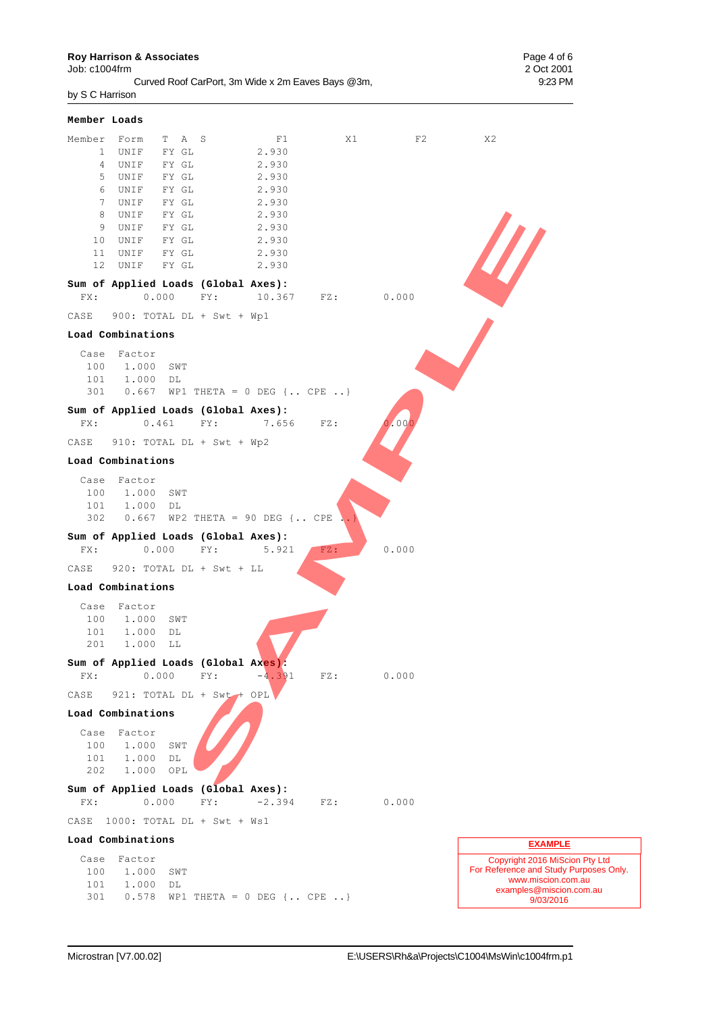Job: c1004frm 2 Oct 2001

Curved Roof CarPort, 3m Wide x 2m Eaves Bays @3m, 9:23 PM by S C Harrison

**Member Loads** Member Form T A S F1 X1 F2 X2 1 UNIF FY GL 2.930 4 UNIF FY GL 2.930 5 UNIF FY GL 2.930 6 UNIF FY GL 2.930 7 UNIF FY GL 2.930 8 UNIF FY GL 2.930<br>9 UNIF FY GL 2.930 9 UNIF FY GL 2.930 10 UNIF FY GL 2.930 11 UNIF FY GL 2.930 12 UNIF FY GL 2.930 **Sum of Applied Loads (Global Axes):** FX: 0.000 FY: 10.367 FZ: 0.000 CASE 900: TOTAL DL + Swt + Wp1 **Load Combinations** Case Factor 100 1.000 SWT 101 1.000 DL 301 0.667 WP1 THETA = 0 DEG {.. CPE ..} **Sum of Applied Loads (Global Axes):** FX: 0.461 FY: 7.656 FZ: 0.00 CASE 910: TOTAL DL + Swt + Wp2 **Load Combinations** Case Factor 100 1.000 SWT 101 1.000 DL  $302$  0.667 WP2 THETA = 90 DEG {.. CPE **Sum of Applied Loads (Global Axes):** FX: 0.000 FY: 5.921 FZ: 0.000 CASE 920: TOTAL DL + Swt + LL **Load Combinations** Case Factor 100 1.000 SWT 101 1.000 DL 201 1.000 LL **Sum of Applied Loads (Global Axes):**  $FX: 0.000 \t FY: -4.391 \t FZ: 0.000$ CASE 921: TOTAL DL + Swt + OPL **Load Combinations** Case Factor 100 1.000 SWT 101 1.000 DL 202 1.000 OPL **Sum of Applied Loads (Global Axes):** FX: 0.000 FY: -2.394 FZ: 0.000 CASE 1000: TOTAL DL + Swt + Ws1 **Load Combinations** Case Factor 100 1.000 SWT 101 1.000 DL 301 0.578 WP1 THETA = 0 DEG {.. CPE ..} Copyright 2016 MiScion Pty Ltd For Reference and Study Purposes Only. www.miscion.com.au examples@miscion.com.au 9/03/2016 **EXAMPLE** SAMPLE 2.930<br>
SAMPLE 2.930<br>
SAMPLE 2.930<br>
SAMPLE 2.930<br>
SAMPLE 2.930<br>
FY: 10.367 F2: 0.000<br>
DL + Swt + Wpl<br>
T<br>
THETA - 0 DEG (...CFE ...)<br>
SAMPLE 7: 7.556 F2:<br>
FY: 7.556 F2:<br>
FY: 8.921<br>
FY: 3.321 F2:<br>
SAMPLE 2.716TA - 90 D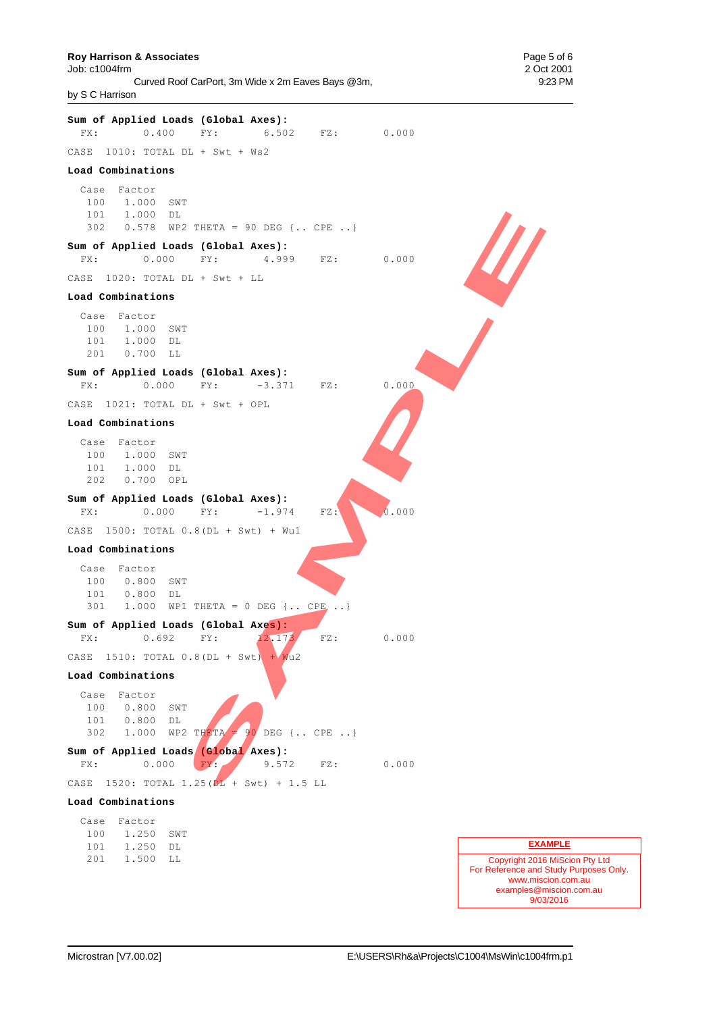#### **Roy Harrison & Associates Page 5 of 6 Page 5 of 6 Page 5 of 6 Page 5 of 6 Page 5 of 6 Page 5 of 6**

Job: c1004frm 2 Oct 2001 Curved Roof CarPort, 3m Wide x 2m Eaves Bays @3m, 9:23 PM by S C Harrison

**Sum of Applied Loads (Global Axes):** FX: 0.400 FY: 6.502 FZ: 0.000 CASE 1010: TOTAL DL + Swt + Ws2 **Load Combinations** Case Factor 100 1.000 SWT 101 1.000 DL 302 0.578 WP2 THETA = 90 DEG {.. CPE ..} **Sum of Applied Loads (Global Axes):** FX: 0.000 FY: 4.999 FZ: 0.000 CASE 1020: TOTAL DL + Swt + LL **Load Combinations** Case Factor 100 1.000 SWT 101 1.000 DL 201 0.700 LL **Sum of Applied Loads (Global Axes):** FX: 0.000 FY: -3.371 FZ: 0.000 CASE 1021: TOTAL DL + Swt + OPL **Load Combinations** Case Factor 100 1.000 SWT 101 1.000 DL 202 0.700 OPL **Sum of Applied Loads (Global Axes):** FX: 0.000 FY: -1.974 FZ: 0.000 CASE 1500: TOTAL 0.8(DL + Swt) + Wu1 **Load Combinations** Case Factor 100 0.800 SWT 101 0.800 DL 301 1.000 WP1 THETA = 0 DEG {.. CPE .. } **Sum of Applied Loads (Global Axes):** FX: 0.692 FY:  $12.173$  FZ: 0.000 CASE 1510: TOTAL  $0.8(DL + Swt) + Wu2$ **Load Combinations** Case Factor 100 0.800 SWT 101 0.800 DL 302 1.000 WP2 THETA = 90 DEG {.. CPE ..} **Sum of Applied Loads (Global Axes):** FX: 0.000 FY: 9.572 FZ: 0.000 CASE 1520: TOTAL 1.25(DL + Swt) + 1.5 LL **Load Combinations** Case Factor 100 1.250 SWT 101 1.250 DL 201 1.500 LL **EXAMPLE** 2 THETA - 90 DEG (.. CPE ...)<br> **SAMPLE CONDENSATION**<br>
FY: 4.999 P2: 0.000<br>
FY: 4.999 P2: 0.000<br>
PY: -3.371 P2: 0.000<br>
PY: -3.371 P2: 0.000<br>
PY: -3.371 P2: 0.000<br>
PY: -1.974 P2: 0.000<br>
SAMPLE P2: 1.974 P2: 0.000<br>
O.8(DL +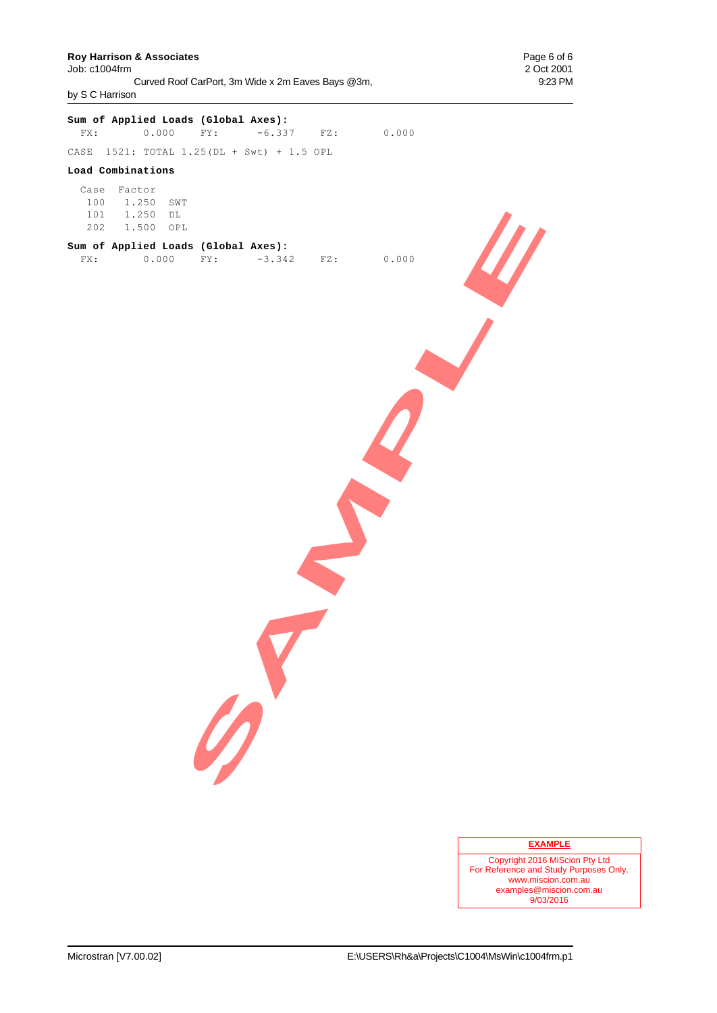## **Roy Harrison & Associates Page 6 of 6**<br> **Page 6 of 6**<br> **Page 6 of 2001**

Job: c1004frm Curved Roof CarPort, 3m Wide x 2m Eaves Bays @3m, 9:23 PM by S C Harrison

# **Sum of Applied Loads (Global Axes):** FX: 0.000 FY: -6.337 FZ: 0.000 CASE 1521: TOTAL 1.25(DL + Swt) + 1.5 OPL **Load Combinations** Case Factor 100 1.250 SWT 101 1.250 DL 202 1.500 OPL **Sum of Applied Loads (Global Axes):** FX: 0.000 FY: -3.342 FZ: 0.000 **SAMPLE**

#### **EXAMPLE**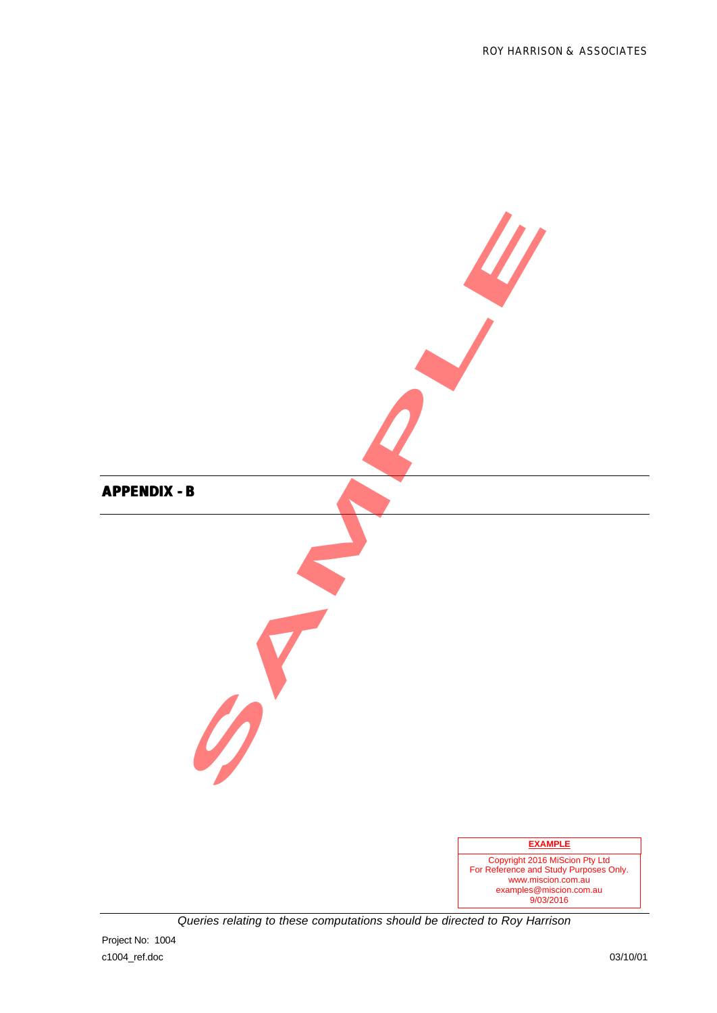![](_page_32_Figure_1.jpeg)

*Queries relating to these computations should be directed to Roy Harrison*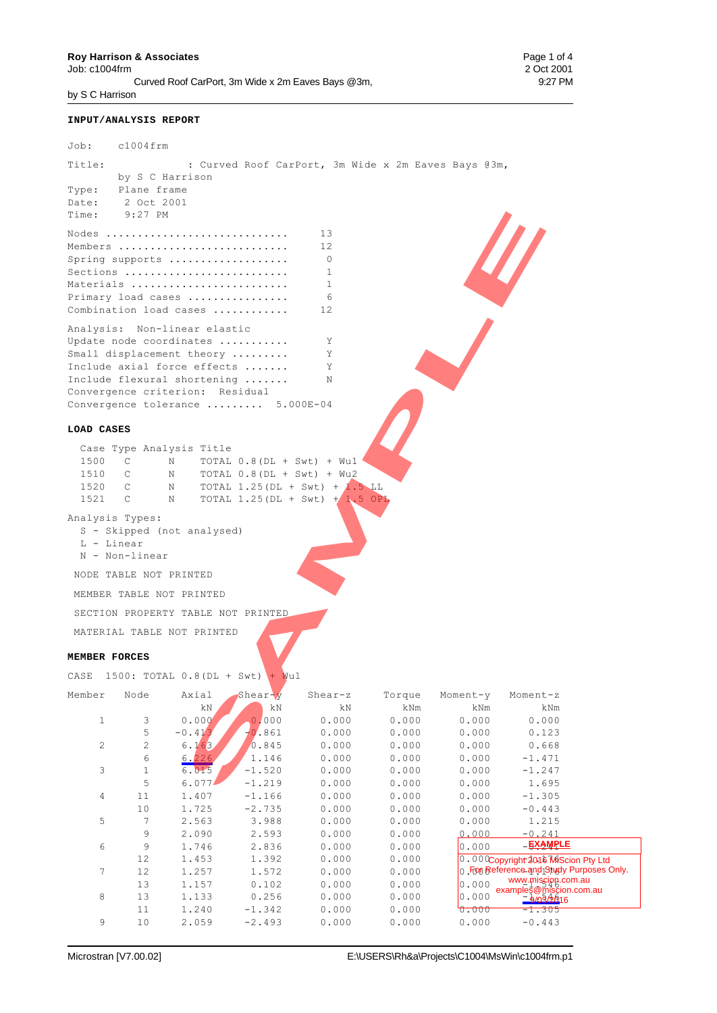**Roy Harrison & Associates** Page 1 of 4<br>
Job: c1004frm 2 Oct 2001  $Job: c1004$ frm Curved Roof CarPort, 3m Wide x 2m Eaves Bays @3m, 9:27 PM by S C Harrison

#### **INPUT/ANALYSIS REPORT**

| Job:                      | $c1004$ frm                    |                                 |                                                      |                                                     |        |          |        |
|---------------------------|--------------------------------|---------------------------------|------------------------------------------------------|-----------------------------------------------------|--------|----------|--------|
| Title:                    |                                |                                 |                                                      | : Curved Roof CarPort, 3m Wide x 2m Eaves Bays @3m, |        |          |        |
|                           | by S C Harrison<br>Plane frame |                                 |                                                      |                                                     |        |          |        |
| Type:<br>Date: 2 Oct 2001 |                                |                                 |                                                      |                                                     |        |          |        |
| Time: 9:27 PM             |                                |                                 |                                                      |                                                     |        |          |        |
|                           |                                |                                 |                                                      |                                                     |        |          |        |
|                           |                                |                                 | Nodes                                                | 13                                                  |        |          |        |
|                           |                                |                                 | Members                                              | 12                                                  |        |          |        |
|                           |                                |                                 | Spring supports                                      | 0                                                   |        |          |        |
|                           |                                |                                 | Sections<br>Materials                                | 1<br>1                                              |        |          |        |
|                           |                                |                                 | Primary load cases                                   | 6                                                   |        |          |        |
|                           |                                |                                 | Combination load cases                               | 12                                                  |        |          |        |
|                           |                                |                                 |                                                      |                                                     |        |          |        |
|                           |                                | Analysis: Non-linear elastic    |                                                      |                                                     |        |          |        |
|                           |                                |                                 | Update node coordinates<br>Small displacement theory | Y<br>Y                                              |        |          |        |
|                           |                                |                                 | Include axial force effects                          | Υ                                                   |        |          |        |
|                           |                                |                                 | Include flexural shortening                          | Ν                                                   |        |          |        |
|                           |                                | Convergence criterion: Residual |                                                      |                                                     |        |          |        |
|                           |                                |                                 | Convergence tolerance  5.000E-04                     |                                                     |        |          |        |
|                           |                                |                                 |                                                      |                                                     |        |          |        |
| LOAD CASES                |                                |                                 |                                                      |                                                     |        |          |        |
|                           |                                | Case Type Analysis Title        |                                                      |                                                     |        |          |        |
| 1500<br>$\overline{C}$    |                                | N                               | TOTAL $0.8$ (DL + Swt) + Wu1                         |                                                     |        |          |        |
|                           | 1510 C N                       |                                 | TOTAL $0.8$ (DL + Swt) + Wu2                         |                                                     |        |          |        |
| 1520 C                    |                                | $\mathbb{N}$                    |                                                      | TOTAL $1.25(DL + Swt) + 1.5LL$                      |        |          |        |
| 1521 C                    |                                | N                               |                                                      | TOTAL $1.25(DL + Swt) + 1.5OPL$                     |        |          |        |
| Analysis Types:           |                                |                                 |                                                      |                                                     |        |          |        |
|                           |                                | S - Skipped (not analysed)      |                                                      |                                                     |        |          |        |
| L - Linear                |                                |                                 |                                                      |                                                     |        |          |        |
|                           | N - Non-linear                 |                                 |                                                      |                                                     |        |          |        |
| NODE TABLE NOT PRINTED    |                                |                                 |                                                      |                                                     |        |          |        |
|                           |                                |                                 |                                                      |                                                     |        |          |        |
|                           |                                | MEMBER TABLE NOT PRINTED        |                                                      |                                                     |        |          |        |
|                           |                                |                                 | SECTION PROPERTY TABLE NOT PRINTED                   |                                                     |        |          |        |
|                           |                                | MATERIAL TABLE NOT PRINTED      |                                                      |                                                     |        |          |        |
|                           |                                |                                 |                                                      |                                                     |        |          |        |
| MEMBER FORCES             |                                |                                 |                                                      |                                                     |        |          |        |
| CASE                      |                                | 1500: TOTAL 0.8 (DL + Swt)      | + Wul                                                |                                                     |        |          |        |
| Member                    | Node                           | Axial                           | Shear-y                                              | Shear-z                                             | Torque | Moment-y | Moment |
|                           |                                | kΝ                              | kΝ                                                   | kΝ                                                  | kNm    | kNm      | k      |
| $\mathbf{1}$              | 3                              | 0.000                           | 0,000                                                | 0.000                                               | 0.000  | 0.000    | 0.0    |
|                           | 5                              | $-0.413$                        | $-0.861$                                             | 0.000                                               | 0.000  | 0.000    | 0.1    |
| $\mathbf{2}$              | $\mathbf 2$                    | 6.163                           | 0.845                                                | 0.000                                               | 0.000  | 0.000    | 0.6    |
|                           | 6                              | 6.226                           | 1.146                                                | 0.000                                               | 0.000  | 0.000    | $-1.4$ |
| 3                         | 1                              | 6.015                           | $-1.520$                                             | 0.000                                               | 0.000  | 0.000    | $-1.2$ |
|                           | 5                              | 6.077                           | $-1.219$                                             | 0.000                                               | 0.000  | 0.000    | 1.6    |

## **MEMBER FORCES**

| Member         | Node | Axial    | Shear-y  | Shear-z | Torque | Moment-y | Moment-z                                      |
|----------------|------|----------|----------|---------|--------|----------|-----------------------------------------------|
|                |      | kN       | kN       | kΝ      | kNm    | kNm      | kNm                                           |
| $\mathbf 1$    | 3    | 0.000    | 0.000    | 0.000   | 0.000  | 0.000    | 0.000                                         |
|                | 5    | $-0.413$ | $-0.861$ | 0.000   | 0.000  | 0.000    | 0.123                                         |
| $\overline{c}$ | 2    | 6.163    | 0.845    | 0.000   | 0.000  | 0.000    | 0.668                                         |
|                | 6    | 6.226    | 1.146    | 0.000   | 0.000  | 0.000    | $-1.471$                                      |
| 3              |      | 6.015    | $-1.520$ | 0.000   | 0.000  | 0.000    | $-1.247$                                      |
|                | 5    | 6.077    | $-1.219$ | 0.000   | 0.000  | 0.000    | 1.695                                         |
| 4              | 11   | 1.407    | $-1.166$ | 0.000   | 0.000  | 0.000    | $-1.305$                                      |
|                | 10   | 1.725    | $-2.735$ | 0.000   | 0.000  | 0.000    | $-0.443$                                      |
| 5              | 7    | 2.563    | 3.988    | 0.000   | 0.000  | 0.000    | 1.215                                         |
|                | 9    | 2.090    | 2.593    | 0.000   | 0.000  | 0.000    | $-0.241$                                      |
| 6              | 9    | 1.746    | 2.836    | 0.000   | 0.000  | 0.000    | <u> EXAMPLE</u>                               |
|                | 12   | 1.453    | 1.392    | 0.000   | 0.000  |          | 0.000Copyright 2016 MiScion Pty Ltd           |
| 7              | 12   | 1.257    | 1.572    | 0.000   | 0.000  |          | 0. From Reference and Study Purposes Only.    |
|                | 13   | 1.157    | 0.102    | 0.000   | 0.000  | 0.000    | www.miscion.com.au<br>examples@miscion.com.au |
| 8              | 13   | 1.133    | 0.256    | 0.000   | 0.000  | 0.000    | <u> 9/03/2016 - </u>                          |
|                | 11   | 1,240    | $-1.342$ | 0.000   | 0.000  | 0.000    | <del>-1.305</del>                             |
| 9              | 10   | 2.059    | $-2.493$ | 0.000   | 0.000  | 0.000    | $-0.443$                                      |
|                |      |          |          |         |        |          |                                               |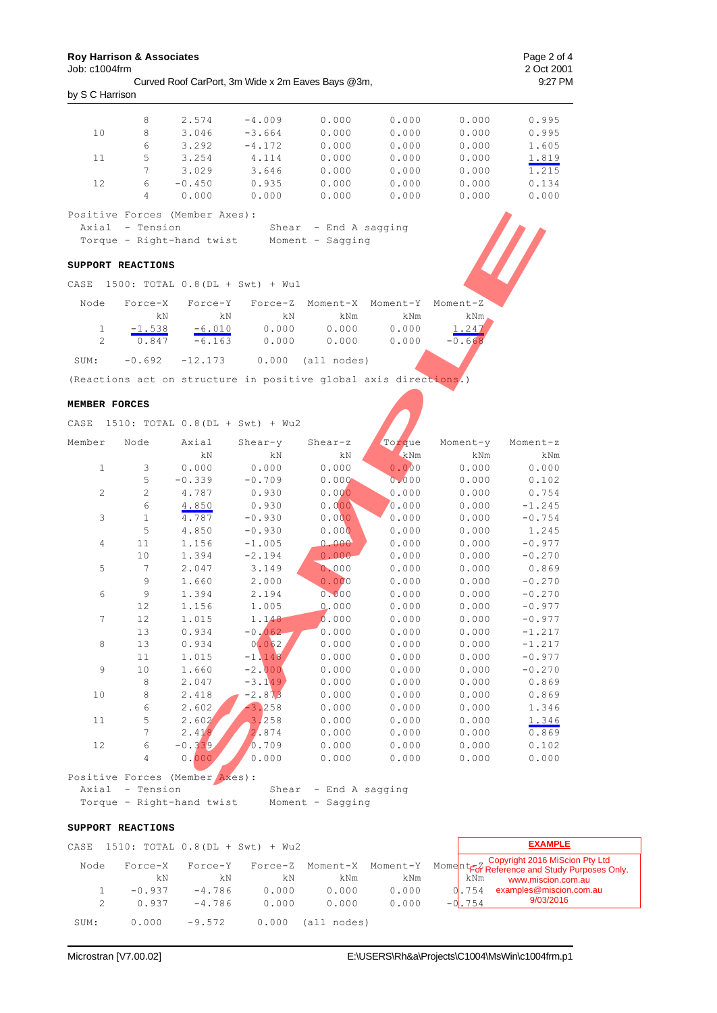Job: c1004frm

Curved Roof CarPort, 3m Wide x 2m Eaves Bays @3m, 9:27 PM by S C Harrison

|                                | 8         | 2.574    | $-4.009$ | 0.000           | 0.000 | 0.000 | 0.995 |
|--------------------------------|-----------|----------|----------|-----------------|-------|-------|-------|
| 10                             | 8         | 3.046    | $-3.664$ | 0.000           | 0.000 | 0.000 | 0.995 |
|                                | 6         | 3.292    | $-4.172$ | 0.000           | 0.000 | 0.000 | 1.605 |
| 11                             | 5         | 3.254    | 4.114    | 0.000           | 0.000 | 0.000 | 1.819 |
|                                | $\tau$    | 3.029    | 3.646    | 0.000           | 0.000 | 0.000 | 1.215 |
| 12                             | 6         | $-0.450$ | 0.935    | 0.000           | 0.000 | 0.000 | 0.134 |
|                                | 4         | 0.000    | 0.000    | 0.000           | 0.000 | 0.000 | 0.000 |
| Positive Forces (Member Axes): |           |          |          |                 |       |       |       |
| Axial                          | - Tension |          | Shear    | - End A sagging |       |       |       |

#### **SUPPORT REACTIONS**

| Node | Force-X  | Force-Y   |       | Force-Z Moment-X Moment-Y Moment-Z |       |          |
|------|----------|-----------|-------|------------------------------------|-------|----------|
|      | kΝ       | kN        | kN    | kNm                                | kNm   | kNm,     |
|      | $-1.538$ | $-6.010$  | 0.000 | 0.000                              | 0.000 | 1.247    |
|      | 0.847    | $-6.163$  | 0.000 | 0.000                              | 0.000 | $-0.668$ |
| SUM: | $-0.692$ | $-12.173$ |       | $0.000$ (all nodes)                |       |          |

#### **MEMBER FORCES**

|                |                                         | Positive Forces (Member Axes):                                   |          |                       |          |              |          |
|----------------|-----------------------------------------|------------------------------------------------------------------|----------|-----------------------|----------|--------------|----------|
|                | Axial - Tension                         |                                                                  |          | Shear - End A sagging |          |              |          |
|                |                                         | Torque - Right-hand twist Moment - Sagging                       |          |                       |          |              |          |
|                | SUPPORT REACTIONS                       |                                                                  |          |                       |          |              |          |
| CASE           |                                         | $1500: TOTAL 0.8(DL + Swt) + Wu1$                                |          |                       |          |              |          |
| Node           | Force-X                                 | Force-Y                                                          | Force-Z  |                       | Moment-Y |              |          |
|                | kΝ                                      | kΝ                                                               | kΝ       | Moment-X<br>kNm       | kNm      | Moment-Z     |          |
| 1              |                                         | $-6.010$                                                         | 0.000    | 0.000                 | 0.000    | kNm<br>1.247 |          |
| $\overline{2}$ | $-1.538$<br>0.847                       | $-6.163$                                                         | 0.000    | 0.000                 | 0.000    | $-0.668$     |          |
|                |                                         |                                                                  |          |                       |          |              |          |
| SUM:           | $-0.692$                                | $-12.173$                                                        |          | $0.000$ (all nodes)   |          |              |          |
|                |                                         | (Reactions act on structure in positive global axis directions.) |          |                       |          |              |          |
| MEMBER FORCES  |                                         |                                                                  |          |                       |          |              |          |
| CASE           |                                         | 1510: TOTAL 0.8 (DL + Swt) + Wu2                                 |          |                       |          |              |          |
| Member         | Node                                    | Axial                                                            | Shear-y  | Shear-z               | Torque   | Moment-y     | Moment-z |
|                |                                         | kN                                                               | kN       | kΝ                    | kNm      | kNm          | kNm      |
| $\mathbf{1}$   | 3                                       | 0.000                                                            | 0.000    | 0.000                 | 0.000    | 0.000        | 0.000    |
|                | 5                                       | $-0.339$                                                         | $-0.709$ | 0.000                 | 0.000    | 0.000        | 0.102    |
| 2              | $\mathbf{2}$                            | 4.787                                                            | 0.930    | 0.000                 | 0.000    | 0.000        | 0.754    |
|                | 6                                       | 4.850                                                            | 0.930    | 0.000                 | 0.000    | 0.000        | $-1.245$ |
| 3              | $\mathbf{1}$                            | 4.787                                                            | $-0.930$ | 0.000                 | 0.000    | 0.000        | $-0.754$ |
|                | 5                                       | 4.850                                                            | $-0.930$ | 0.000                 | 0.000    | 0.000        | 1.245    |
| 4              | 11                                      | 1.156                                                            | $-1.005$ | 0.000                 | 0.000    | 0.000        | $-0.977$ |
|                | 10                                      | 1.394                                                            | $-2.194$ | 0.000                 | 0.000    | 0.000        | $-0.270$ |
| 5              | $7\phantom{.0}$                         | 2.047                                                            | 3.149    | 0.000                 | 0.000    | 0.000        | 0.869    |
|                | 9                                       | 1.660                                                            | 2.000    | 0.000                 | 0.000    | 0.000        | $-0.270$ |
| 6              | 9                                       | 1.394                                                            | 2.194    | 0.000                 | 0.000    | 0.000        | $-0.270$ |
|                | 12                                      | 1.156                                                            | 1.005    | 0.000                 | 0.000    | 0.000        | $-0.977$ |
| 7              | 12                                      | 1.015                                                            | 1.148    | 0.000                 | 0.000    | 0.000        | $-0.977$ |
|                | 13                                      | 0.934                                                            | $-0.062$ | 0.000                 | 0.000    | 0.000        | $-1.217$ |
| 8              | 13                                      | 0.934                                                            | 0.062    | 0.000                 | 0.000    | 0.000        | $-1.217$ |
|                | 11                                      | 1.015                                                            | $-1.148$ | 0.000                 | 0.000    | 0.000        | $-0.977$ |
| 9              | 10                                      | 1.660                                                            | $-2.000$ | 0.000                 | 0.000    | 0.000        | $-0.270$ |
|                | 8                                       | 2.047                                                            | $-3.149$ | 0.000                 | 0.000    | 0.000        | 0.869    |
| 10             | 8                                       | 2.418                                                            | $-2.873$ | 0.000                 | 0.000    | 0.000        | 0.869    |
|                | 6                                       | 2.602                                                            | $-3.258$ | 0.000                 | 0.000    | 0.000        | 1.346    |
| 11             | 5                                       | 2.602                                                            | 3.258    | 0.000                 | 0.000    | 0.000        | 1.346    |
|                | 7                                       | 2.418                                                            | 2.874    | 0.000                 | 0.000    | 0.000        | 0.869    |
| 12             | 6                                       | $-0.339$                                                         | 0.709    | 0.000                 | 0.000    | 0.000        | 0.102    |
|                | $\overline{4}$                          | 0.000.                                                           | 0.000    | 0.000                 | 0.000    | 0.000        | 0.000    |
|                |                                         | Positive Forces (Member Axes):                                   |          |                       |          |              |          |
|                | $T_{\text{total}}$ $T_{\text{initial}}$ |                                                                  | Chan     | End 1 common          |          |              |          |

| POSILIVE FOLCES (MEMDEL AXES): |                         |
|--------------------------------|-------------------------|
| Axial - Tension                | Shear $-$ End A sagging |
| Torque - Right-hand twist      | Moment - Sagging        |

#### **SUPPORT REACTIONS**

| CASE |               | $1510: TOTAL 0.8(DL + Swt) + Wu2$ |               |                 |       |          | <b>EXAMPLE</b>                                                                                                                |
|------|---------------|-----------------------------------|---------------|-----------------|-------|----------|-------------------------------------------------------------------------------------------------------------------------------|
| Node | Force-X<br>kN | Force-Y<br>kN                     | Force-Z<br>kΝ | Moment-X<br>kNm | kNm   | kNm      | Moment-Y Moment <sub>For</sub> Copyright 2016 MiScion Pty Ltd<br>For Reference and Study Purposes Only.<br>www.miscion.com.au |
|      | $-0.937$      | $-4.786$                          | 0.000         | 0.000           | 0.000 | 0.754    | examples@miscion.com.au                                                                                                       |
|      | 0.937         | $-4.786$                          | 0.000         | 0.000           | 0.000 | $-0.754$ | 9/03/2016                                                                                                                     |
| SUM: | 0.000         | $-9.572$                          | 0.000         | (all nodes)     |       |          |                                                                                                                               |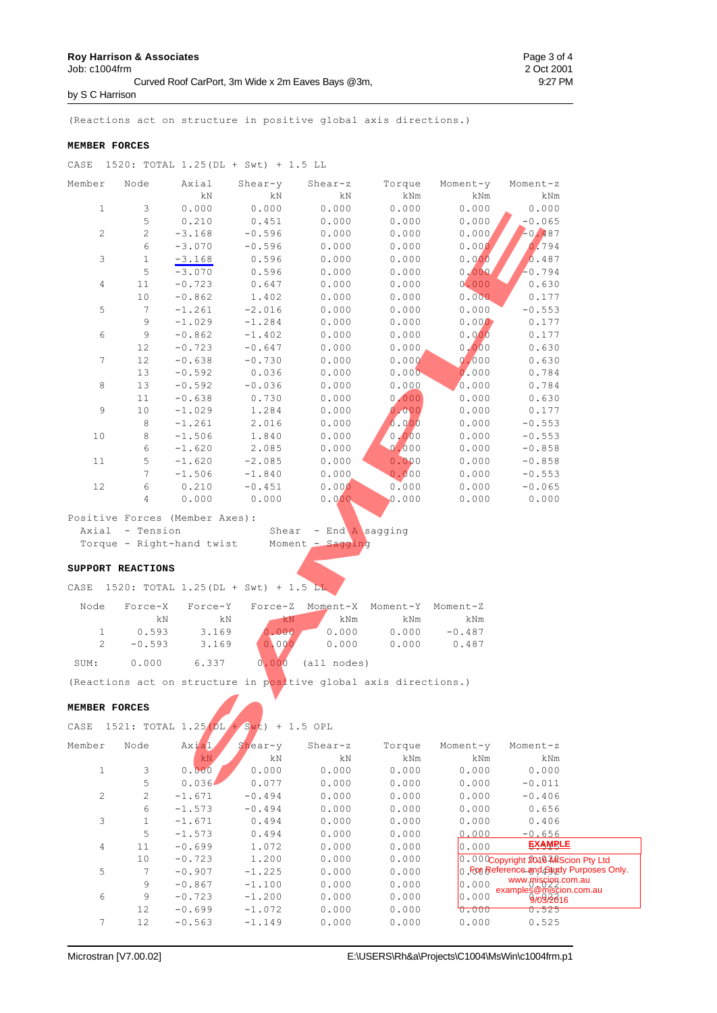**Roy Harrison & Associates**  Page 3 of 4

by S C Harrison

(Reactions act on structure in positive global axis directions.)

#### **MEMBER FORCES**

| CASE             |                   | 1520: TOTAL 1.25 (DL + Swt) + 1.5 LL      |           |                                                                  |          |          |          |
|------------------|-------------------|-------------------------------------------|-----------|------------------------------------------------------------------|----------|----------|----------|
| Member           | Node              | Axial                                     | $Shear-y$ | Shear-z                                                          | Torque   | Moment-y | Moment-z |
|                  |                   | kN                                        | kN        | kΝ                                                               | kNm      | kNm      | kNm      |
| $\mathbf{1}$     | 3                 | 0.000                                     | 0.000     | 0.000                                                            | 0.000    | 0.000    | 0.000    |
|                  | 5                 | 0.210                                     | 0.451     | 0.000                                                            | 0.000    | 0.000    | $-0.065$ |
| $\mathbf{2}$     | $\mathbf{2}$      | $-3.168$                                  | $-0.596$  | 0.000                                                            | 0.000    | 0.000    | $-0.487$ |
|                  | 6                 | $-3.070$                                  | $-0.596$  | 0.000                                                            | 0.000    | 0.000    | 0.794    |
| $\mathsf 3$      | $\mathbf{1}$      | $-3.168$                                  | 0.596     | 0.000                                                            | 0.000    | 0.000    | 0.487    |
|                  | 5                 | $-3.070$                                  | 0.596     | 0.000                                                            | 0.000    | 0,000    | $-0.794$ |
| 4                | 11                | $-0.723$                                  | 0.647     | 0.000                                                            | 0.000    | 0.000    | 0.630    |
|                  | 10                | $-0.862$                                  | 1.402     | 0.000                                                            | 0.000    | 0.000    | 0.177    |
| 5                | $\tau$            | $-1.261$                                  | $-2.016$  | 0.000                                                            | 0.000    | 0.000    | $-0.553$ |
|                  | 9                 | $-1.029$                                  | $-1.284$  | 0.000                                                            | 0.000    | 0.000    | 0.177    |
| $\epsilon$       | $\mathsf 9$       | $-0.862$                                  | $-1.402$  | 0.000                                                            | 0.000    | 0.000    | 0.177    |
|                  | 12                | $-0.723$                                  | $-0.647$  | 0.000                                                            | 0.000    | 0,000    | 0.630    |
| $\boldsymbol{7}$ | 12                | $-0.638$                                  | $-0.730$  | 0.000                                                            | 0.000    | 0.000    | 0.630    |
|                  | 13                | $-0.592$                                  | 0.036     | 0.000                                                            | 0.000    | 0.000    | 0.784    |
| 8                | 13                | $-0.592$                                  | $-0.036$  | 0.000                                                            | 0.000    | 0.000    | 0.784    |
|                  | 11                | $-0.638$                                  | 0.730     | 0.000                                                            | 0.000    | 0.000    | 0.630    |
| 9                | 10                | $-1.029$                                  | 1.284     | 0.000                                                            | 0.000    | 0.000    | 0.177    |
|                  | 8                 | $-1.261$                                  | 2.016     | 0.000                                                            | 0.000    | 0.000    | $-0.553$ |
| 10               | $\,8\,$           | $-1.506$                                  | 1.840     | 0.000                                                            | 0.000    | 0.000    | $-0.553$ |
|                  | 6                 | $-1.620$                                  | 2.085     | 0.000                                                            | 0.000    | 0.000    | $-0.858$ |
| 11               | 5                 | $-1.620$                                  | $-2.085$  | 0.000                                                            | 0.000    | 0.000    | $-0.858$ |
|                  | 7                 | $-1.506$                                  | $-1.840$  | 0.000                                                            | 0.000    | 0.000    | $-0.553$ |
| 12               | 6                 | 0.210                                     | $-0.451$  | 0.000                                                            | 0.000    | 0.000    | $-0.065$ |
|                  | $\overline{4}$    | 0.000                                     | 0.000     | 0.000                                                            | 0.000    | 0.000    | 0.000    |
|                  |                   | Positive Forces (Member Axes):            |           |                                                                  |          |          |          |
|                  | Axial - Tension   |                                           | Shear     | - End A sagging                                                  |          |          |          |
|                  |                   | Torque - Right-hand twist                 | Moment,   | Sagging                                                          |          |          |          |
|                  |                   |                                           |           |                                                                  |          |          |          |
|                  | SUPPORT REACTIONS |                                           |           |                                                                  |          |          |          |
|                  |                   | CASE 1520: TOTAL 1.25 (DL + Swt) + 1.5 LL |           |                                                                  |          |          |          |
| Node             | Force-X           | Force-Y                                   | Force-Z   | Moment-X                                                         | Moment-Y | Moment-Z |          |
|                  | kΝ                | kΝ                                        | kN        | kNm                                                              | kNm      | kNm      |          |
| $\mathbf{1}$     | 0.593             | 3.169                                     | 0.000     | 0.000                                                            | 0.000    | $-0.487$ |          |
| 2                | $-0.593$          | 3.169                                     | 0.000     | 0.000                                                            | 0.000    | 0.487    |          |
| SUM:             | 0.000             | 6.337                                     | 0.000     | (all nodes)                                                      |          |          |          |
|                  |                   |                                           |           | (Reactions act on structure in positive global axis directions.) |          |          |          |
| MEMBER FORCES    |                   |                                           |           |                                                                  |          |          |          |
| CASE             |                   | 1521: TOTAL 1.25 (DL + Swt) + 1.5 OPL     |           |                                                                  |          |          |          |
| Member           | Node              | Axial                                     | Shear-y   | Shear-z                                                          | Torque   | Moment-y | Moment-z |
|                  |                   | kN                                        | kΝ        | kN                                                               | kNm      | kNm      | kNm      |
| $\mathbf{1}$     | 3                 | 0.000                                     | 0.000     | 0.000                                                            | 0.000    | 0.000    | 0.000    |
|                  | 5                 | 0.036                                     | 0.077     | 0.000                                                            | 0.000    | 0.000    | $-0.011$ |
|                  |                   |                                           |           |                                                                  |          |          |          |

 2 2 -1.671 -0.494 0.000 0.000 0.000 -0.406 6 -1.573 -0.494 0.000 0.000 0.000 0.656 3 1 -1.671 0.494 0.000 0.000 0.000 0.406 5 -1.573 0.494 0.000 0.000 0.000 -0.656 4 11 -0.699 1.072 0.000 0.000 0.000 0.525 10  $-0.723$  1.200 0.000 0.000 0.000 0.000 0.000 5 7 −0.907 −1.225 0.000 0.000 0.**000 F000Reference.amd.<u>A</u>3tw**  $9 -0.867 -1.100$   $0.000$   $0.000$   $0.000$   $0.000$   $0.000$   $0.000$   $0.000$   $0.000$   $0.000$   $0.000$   $0.000$   $0.000$   $0.000$   $0.000$   $0.000$   $0.000$   $0.000$   $0.000$   $0.000$   $0.000$   $0.000$   $0.000$   $0.000$   $0.000$   $0.000$   $0.00$  $6$  9 -0.723 -1.200 0.000 0.000 0.000 0.000 0.000 12 -0.699 -1.072 0.000 0.000 0.000 0.525 7 12 -0.563 -1.149 0.000 0.000 0.000 0.525 0.000Copyright 2016 MAScion Pty Ltd o. For Reference and Study Purposes Only. www.miscion.com.au examples@miscion.com.au 9/03/2016 **EXAMPLE**